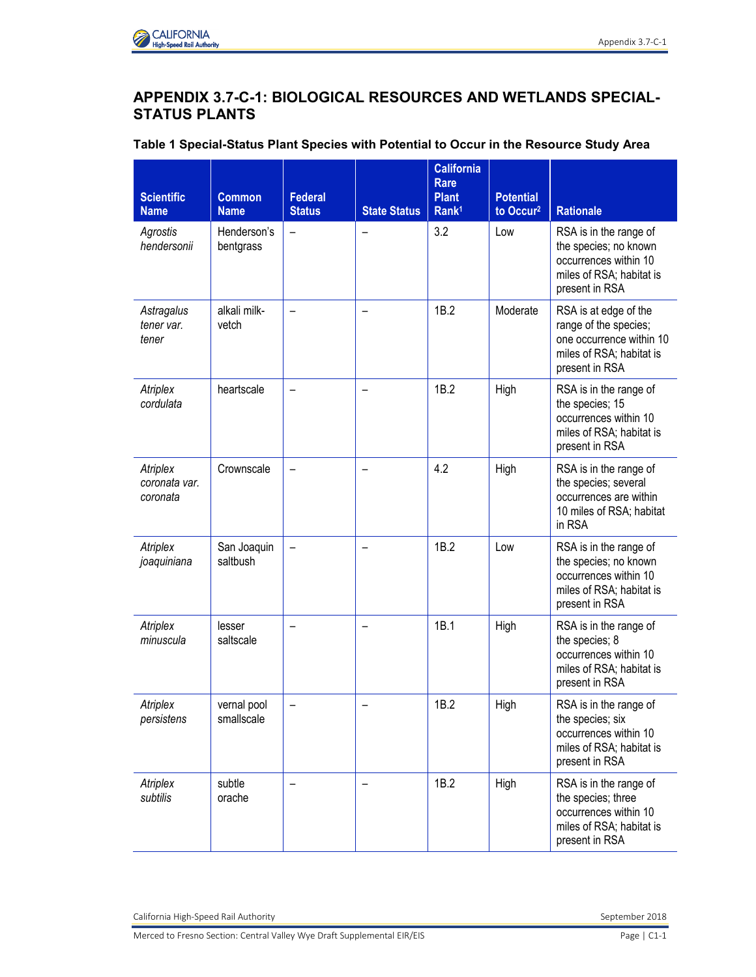## **APPENDIX 3.7-C-1: BIOLOGICAL RESOURCES AND WETLANDS SPECIAL-STATUS PLANTS**

| Table 1 Special-Status Plant Species with Potential to Occur in the Resource Study Area |  |  |  |  |  |  |
|-----------------------------------------------------------------------------------------|--|--|--|--|--|--|
|-----------------------------------------------------------------------------------------|--|--|--|--|--|--|

| <b>Scientific</b><br><b>Name</b>      | <b>Common</b><br><b>Name</b> | <b>Federal</b><br><b>Status</b> | <b>State Status</b> | <b>California</b><br><b>Rare</b><br><b>Plant</b><br>Rank <sup>1</sup> | <b>Potential</b><br>to Occur <sup>2</sup> | <b>Rationale</b>                                                                                                         |
|---------------------------------------|------------------------------|---------------------------------|---------------------|-----------------------------------------------------------------------|-------------------------------------------|--------------------------------------------------------------------------------------------------------------------------|
| Agrostis<br>hendersonii               | Henderson's<br>bentgrass     | $\qquad \qquad -$               |                     | 3.2                                                                   | Low                                       | RSA is in the range of<br>the species; no known<br>occurrences within 10<br>miles of RSA; habitat is<br>present in RSA   |
| Astragalus<br>tener var.<br>tener     | alkali milk-<br>vetch        |                                 |                     | 1B.2                                                                  | Moderate                                  | RSA is at edge of the<br>range of the species;<br>one occurrence within 10<br>miles of RSA; habitat is<br>present in RSA |
| Atriplex<br>cordulata                 | heartscale                   |                                 |                     | 1B.2                                                                  | High                                      | RSA is in the range of<br>the species; 15<br>occurrences within 10<br>miles of RSA; habitat is<br>present in RSA         |
| Atriplex<br>coronata var.<br>coronata | Crownscale                   | $\overline{\phantom{0}}$        |                     | 4.2                                                                   | High                                      | RSA is in the range of<br>the species; several<br>occurrences are within<br>10 miles of RSA; habitat<br>in RSA           |
| Atriplex<br>joaquiniana               | San Joaquin<br>saltbush      |                                 |                     | 1B.2                                                                  | Low                                       | RSA is in the range of<br>the species; no known<br>occurrences within 10<br>miles of RSA; habitat is<br>present in RSA   |
| Atriplex<br>minuscula                 | lesser<br>saltscale          |                                 |                     | 1B.1                                                                  | High                                      | RSA is in the range of<br>the species; 8<br>occurrences within 10<br>miles of RSA; habitat is<br>present in RSA          |
| Atriplex<br>persistens                | vernal pool<br>smallscale    |                                 |                     | 1B.2                                                                  | High                                      | RSA is in the range of<br>the species; six<br>occurrences within 10<br>miles of RSA; habitat is<br>present in RSA        |
| Atriplex<br>subtilis                  | subtle<br>orache             |                                 |                     | 1B.2                                                                  | High                                      | RSA is in the range of<br>the species; three<br>occurrences within 10<br>miles of RSA; habitat is<br>present in RSA      |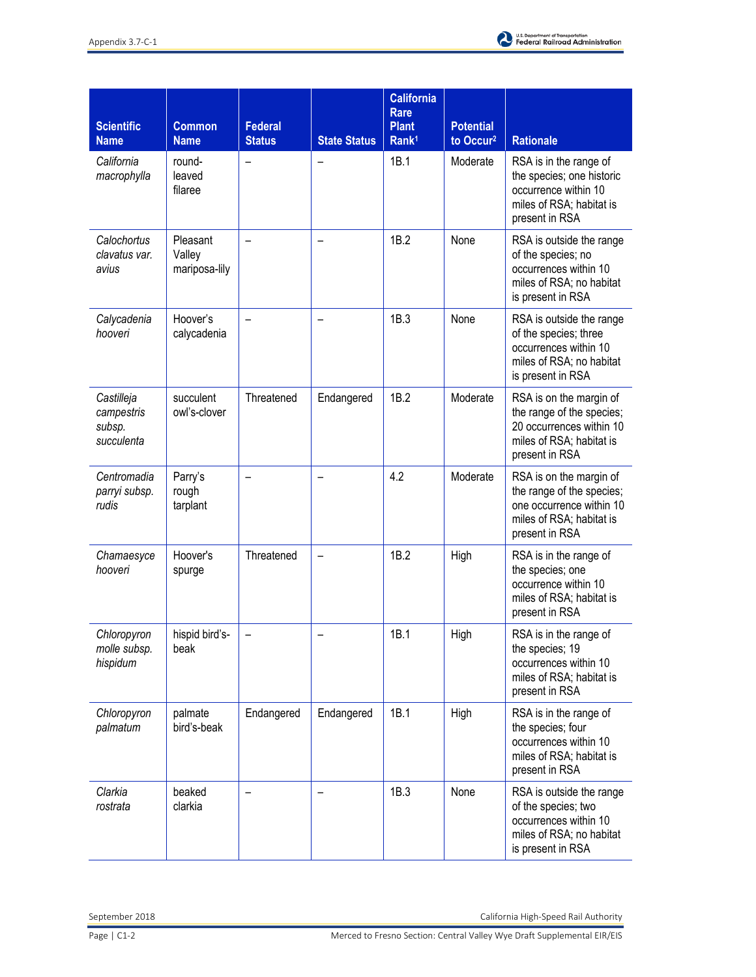

| <b>Scientific</b><br><b>Name</b>                 | <b>Common</b><br><b>Name</b>        | <b>Federal</b><br><b>Status</b> | <b>State Status</b> | <b>California</b><br>Rare<br><b>Plant</b><br>Rank <sup>1</sup> | <b>Potential</b><br>to Occur <sup>2</sup> | <b>Rationale</b>                                                                                                               |
|--------------------------------------------------|-------------------------------------|---------------------------------|---------------------|----------------------------------------------------------------|-------------------------------------------|--------------------------------------------------------------------------------------------------------------------------------|
| California<br>macrophylla                        | round-<br>leaved<br>filaree         |                                 |                     | 1B.1                                                           | Moderate                                  | RSA is in the range of<br>the species; one historic<br>occurrence within 10<br>miles of RSA; habitat is<br>present in RSA      |
| Calochortus<br>clavatus var.<br>avius            | Pleasant<br>Valley<br>mariposa-lily | $\overline{\phantom{0}}$        |                     | 1B.2                                                           | None                                      | RSA is outside the range<br>of the species; no<br>occurrences within 10<br>miles of RSA; no habitat<br>is present in RSA       |
| Calycadenia<br>hooveri                           | Hoover's<br>calycadenia             |                                 |                     | 1B.3                                                           | None                                      | RSA is outside the range<br>of the species; three<br>occurrences within 10<br>miles of RSA; no habitat<br>is present in RSA    |
| Castilleja<br>campestris<br>subsp.<br>succulenta | succulent<br>owl's-clover           | Threatened                      | Endangered          | 1B.2                                                           | Moderate                                  | RSA is on the margin of<br>the range of the species;<br>20 occurrences within 10<br>miles of RSA; habitat is<br>present in RSA |
| Centromadia<br>parryi subsp.<br>rudis            | Parry's<br>rough<br>tarplant        |                                 |                     | 4.2                                                            | Moderate                                  | RSA is on the margin of<br>the range of the species;<br>one occurrence within 10<br>miles of RSA; habitat is<br>present in RSA |
| Chamaesyce<br>hooveri                            | Hoover's<br>spurge                  | Threatened                      |                     | 1B.2                                                           | High                                      | RSA is in the range of<br>the species; one<br>occurrence within 10<br>miles of RSA; habitat is<br>present in RSA               |
| Chloropyron<br>molle subsp.<br>hispidum          | hispid bird's-<br>beak              |                                 |                     | 1B.1                                                           | High                                      | RSA is in the range of<br>the species; 19<br>occurrences within 10<br>miles of RSA; habitat is<br>present in RSA               |
| Chloropyron<br>palmatum                          | palmate<br>bird's-beak              | Endangered                      | Endangered          | 1B.1                                                           | High                                      | RSA is in the range of<br>the species; four<br>occurrences within 10<br>miles of RSA; habitat is<br>present in RSA             |
| Clarkia<br>rostrata                              | beaked<br>clarkia                   |                                 |                     | 1B.3                                                           | None                                      | RSA is outside the range<br>of the species; two<br>occurrences within 10<br>miles of RSA; no habitat<br>is present in RSA      |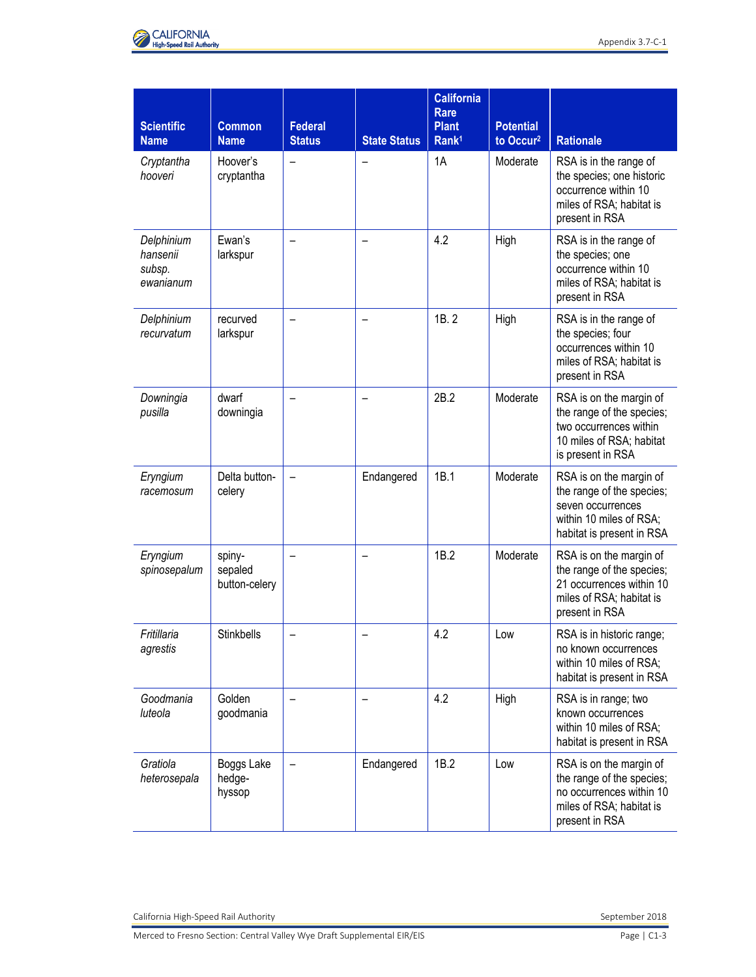

| <b>Scientific</b><br><b>Name</b>              | <b>Common</b><br><b>Name</b>       | <b>Federal</b><br><b>Status</b> | <b>State Status</b> | <b>California</b><br><b>Rare</b><br><b>Plant</b><br>Rank <sup>1</sup> | <b>Potential</b><br>to Occur <sup>2</sup> | <b>Rationale</b>                                                                                                                  |
|-----------------------------------------------|------------------------------------|---------------------------------|---------------------|-----------------------------------------------------------------------|-------------------------------------------|-----------------------------------------------------------------------------------------------------------------------------------|
| Cryptantha<br>hooveri                         | Hoover's<br>cryptantha             | -                               |                     | 1A                                                                    | Moderate                                  | RSA is in the range of<br>the species; one historic<br>occurrence within 10<br>miles of RSA; habitat is<br>present in RSA         |
| Delphinium<br>hansenii<br>subsp.<br>ewanianum | Ewan's<br>larkspur                 |                                 |                     | 4.2                                                                   | High                                      | RSA is in the range of<br>the species; one<br>occurrence within 10<br>miles of RSA; habitat is<br>present in RSA                  |
| Delphinium<br>recurvatum                      | recurved<br>larkspur               |                                 |                     | 1B.2                                                                  | High                                      | RSA is in the range of<br>the species; four<br>occurrences within 10<br>miles of RSA; habitat is<br>present in RSA                |
| Downingia<br>pusilla                          | dwarf<br>downingia                 |                                 |                     | 2B.2                                                                  | Moderate                                  | RSA is on the margin of<br>the range of the species;<br>two occurrences within<br>10 miles of RSA; habitat<br>is present in RSA   |
| Eryngium<br>racemosum                         | Delta button-<br>celery            |                                 | Endangered          | 1B.1                                                                  | Moderate                                  | RSA is on the margin of<br>the range of the species;<br>seven occurrences<br>within 10 miles of RSA;<br>habitat is present in RSA |
| Eryngium<br>spinosepalum                      | spiny-<br>sepaled<br>button-celery |                                 |                     | 1B.2                                                                  | Moderate                                  | RSA is on the margin of<br>the range of the species;<br>21 occurrences within 10<br>miles of RSA; habitat is<br>present in RSA    |
| Fritillaria<br>agrestis                       | <b>Stinkbells</b>                  |                                 |                     | 4.2                                                                   | Low                                       | RSA is in historic range;<br>no known occurrences<br>within 10 miles of RSA;<br>habitat is present in RSA                         |
| Goodmania<br>luteola                          | Golden<br>goodmania                |                                 |                     | 4.2                                                                   | High                                      | RSA is in range; two<br>known occurrences<br>within 10 miles of RSA;<br>habitat is present in RSA                                 |
| Gratiola<br>heterosepala                      | Boggs Lake<br>hedge-<br>hyssop     |                                 | Endangered          | 1B.2                                                                  | Low                                       | RSA is on the margin of<br>the range of the species;<br>no occurrences within 10<br>miles of RSA; habitat is<br>present in RSA    |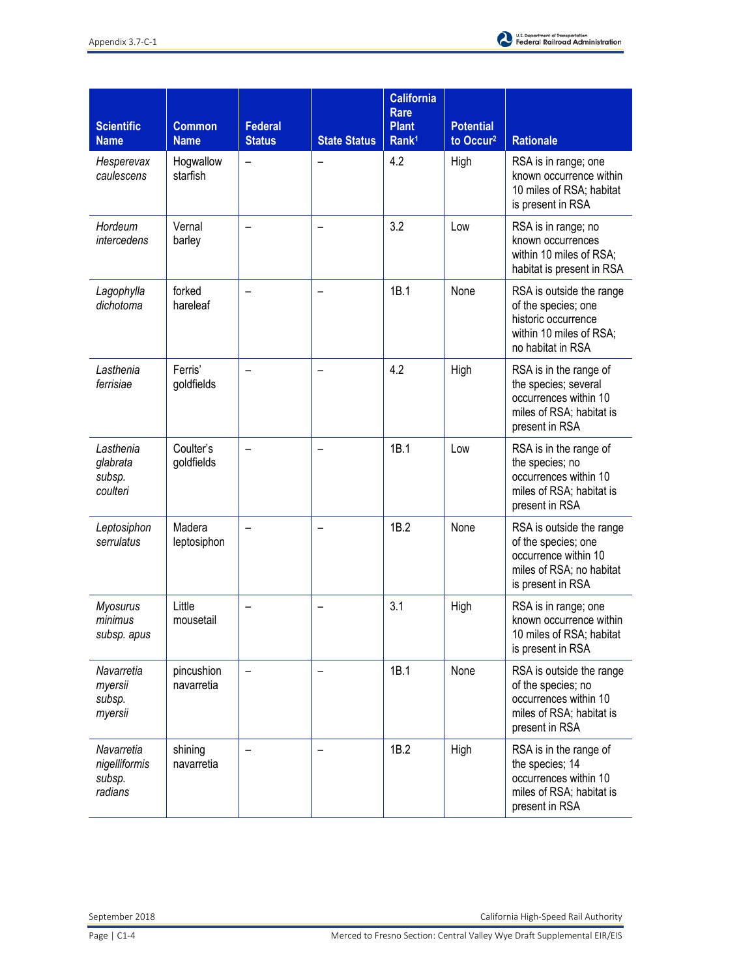

| <b>Scientific</b><br><b>Name</b>                 | <b>Common</b><br><b>Name</b> | <b>Federal</b><br><b>Status</b> | <b>State Status</b> | <b>California</b><br>Rare<br><b>Plant</b><br>Rank <sup>1</sup> | <b>Potential</b><br>to Occur <sup>2</sup> | <b>Rationale</b>                                                                                                         |
|--------------------------------------------------|------------------------------|---------------------------------|---------------------|----------------------------------------------------------------|-------------------------------------------|--------------------------------------------------------------------------------------------------------------------------|
| Hesperevax<br>caulescens                         | Hogwallow<br>starfish        | $\overline{\phantom{0}}$        |                     | 4.2                                                            | High                                      | RSA is in range; one<br>known occurrence within<br>10 miles of RSA; habitat<br>is present in RSA                         |
| Hordeum<br>intercedens                           | Vernal<br>barley             |                                 |                     | 3.2                                                            | Low                                       | RSA is in range; no<br>known occurrences<br>within 10 miles of RSA;<br>habitat is present in RSA                         |
| Lagophylla<br>dichotoma                          | forked<br>hareleaf           |                                 |                     | 1B.1                                                           | None                                      | RSA is outside the range<br>of the species; one<br>historic occurrence<br>within 10 miles of RSA;<br>no habitat in RSA   |
| Lasthenia<br>ferrisiae                           | Ferris'<br>goldfields        |                                 |                     | 4.2                                                            | High                                      | RSA is in the range of<br>the species; several<br>occurrences within 10<br>miles of RSA; habitat is<br>present in RSA    |
| Lasthenia<br>glabrata<br>subsp.<br>coulteri      | Coulter's<br>goldfields      | $\overline{\phantom{0}}$        |                     | 1B.1                                                           | Low                                       | RSA is in the range of<br>the species; no<br>occurrences within 10<br>miles of RSA; habitat is<br>present in RSA         |
| Leptosiphon<br>serrulatus                        | Madera<br>leptosiphon        |                                 |                     | 1B.2                                                           | None                                      | RSA is outside the range<br>of the species; one<br>occurrence within 10<br>miles of RSA; no habitat<br>is present in RSA |
| <b>Myosurus</b><br>minimus<br>subsp. apus        | Little<br>mousetail          |                                 |                     | 3.1                                                            | High                                      | RSA is in range; one<br>known occurrence within<br>10 miles of RSA; habitat<br>is present in RSA                         |
| Navarretia<br>myersii<br>subsp.<br>myersii       | pincushion<br>navarretia     |                                 |                     | 1B.1                                                           | None                                      | RSA is outside the range<br>of the species; no<br>occurrences within 10<br>miles of RSA; habitat is<br>present in RSA    |
| Navarretia<br>nigelliformis<br>subsp.<br>radians | shining<br>navarretia        |                                 |                     | 1B.2                                                           | High                                      | RSA is in the range of<br>the species; 14<br>occurrences within 10<br>miles of RSA; habitat is<br>present in RSA         |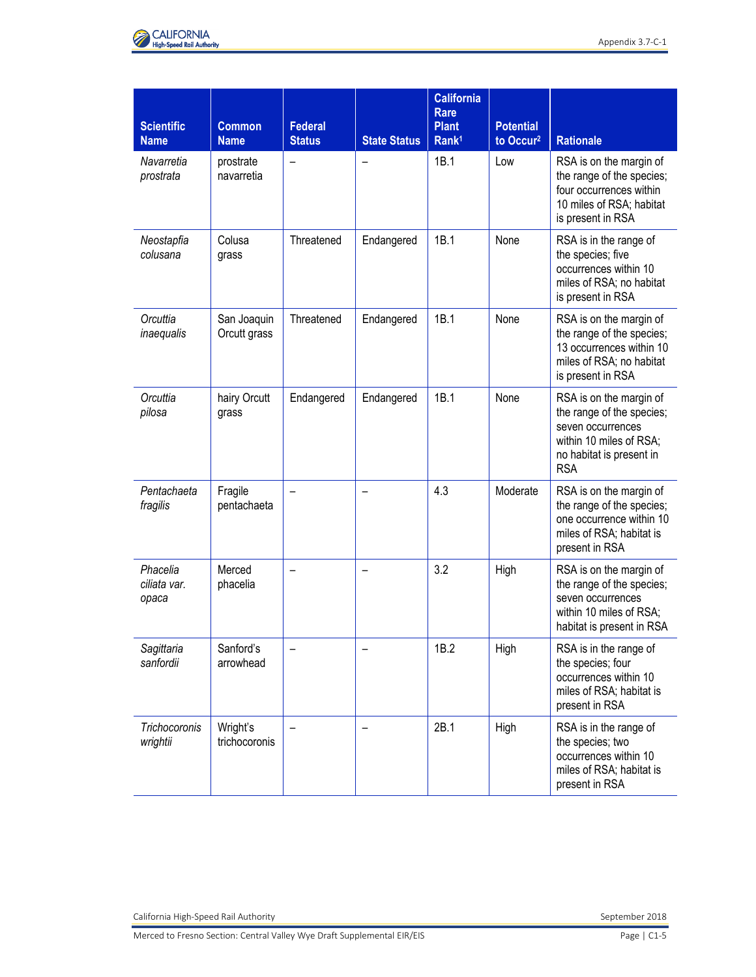

| <b>Scientific</b><br><b>Name</b>  | <b>Common</b><br><b>Name</b> | <b>Federal</b><br><b>Status</b> | <b>State Status</b> | <b>California</b><br><b>Rare</b><br><b>Plant</b><br>Rank <sup>1</sup> | <b>Potential</b><br>to Occur <sup>2</sup> | <b>Rationale</b>                                                                                                                               |
|-----------------------------------|------------------------------|---------------------------------|---------------------|-----------------------------------------------------------------------|-------------------------------------------|------------------------------------------------------------------------------------------------------------------------------------------------|
| Navarretia<br>prostrata           | prostrate<br>navarretia      |                                 |                     | 1B.1                                                                  | Low                                       | RSA is on the margin of<br>the range of the species;<br>four occurrences within<br>10 miles of RSA; habitat<br>is present in RSA               |
| Neostapfia<br>colusana            | Colusa<br>grass              | Threatened                      | Endangered          | 1B.1                                                                  | None                                      | RSA is in the range of<br>the species; five<br>occurrences within 10<br>miles of RSA; no habitat<br>is present in RSA                          |
| Orcuttia<br>inaequalis            | San Joaquin<br>Orcutt grass  | Threatened                      | Endangered          | 1B.1                                                                  | None                                      | RSA is on the margin of<br>the range of the species;<br>13 occurrences within 10<br>miles of RSA; no habitat<br>is present in RSA              |
| Orcuttia<br>pilosa                | hairy Orcutt<br>grass        | Endangered                      | Endangered          | 1B.1                                                                  | None                                      | RSA is on the margin of<br>the range of the species;<br>seven occurrences<br>within 10 miles of RSA;<br>no habitat is present in<br><b>RSA</b> |
| Pentachaeta<br>fragilis           | Fragile<br>pentachaeta       |                                 |                     | 4.3                                                                   | Moderate                                  | RSA is on the margin of<br>the range of the species;<br>one occurrence within 10<br>miles of RSA; habitat is<br>present in RSA                 |
| Phacelia<br>ciliata var.<br>opaca | Merced<br>phacelia           |                                 |                     | 3.2                                                                   | High                                      | RSA is on the margin of<br>the range of the species;<br>seven occurrences<br>within 10 miles of RSA;<br>habitat is present in RSA              |
| Sagittaria<br>sanfordii           | Sanford's<br>arrowhead       |                                 |                     | 1B.2                                                                  | High                                      | RSA is in the range of<br>the species; four<br>occurrences within 10<br>miles of RSA; habitat is<br>present in RSA                             |
| Trichocoronis<br>wrightii         | Wright's<br>trichocoronis    |                                 |                     | 2B.1                                                                  | High                                      | RSA is in the range of<br>the species; two<br>occurrences within 10<br>miles of RSA; habitat is<br>present in RSA                              |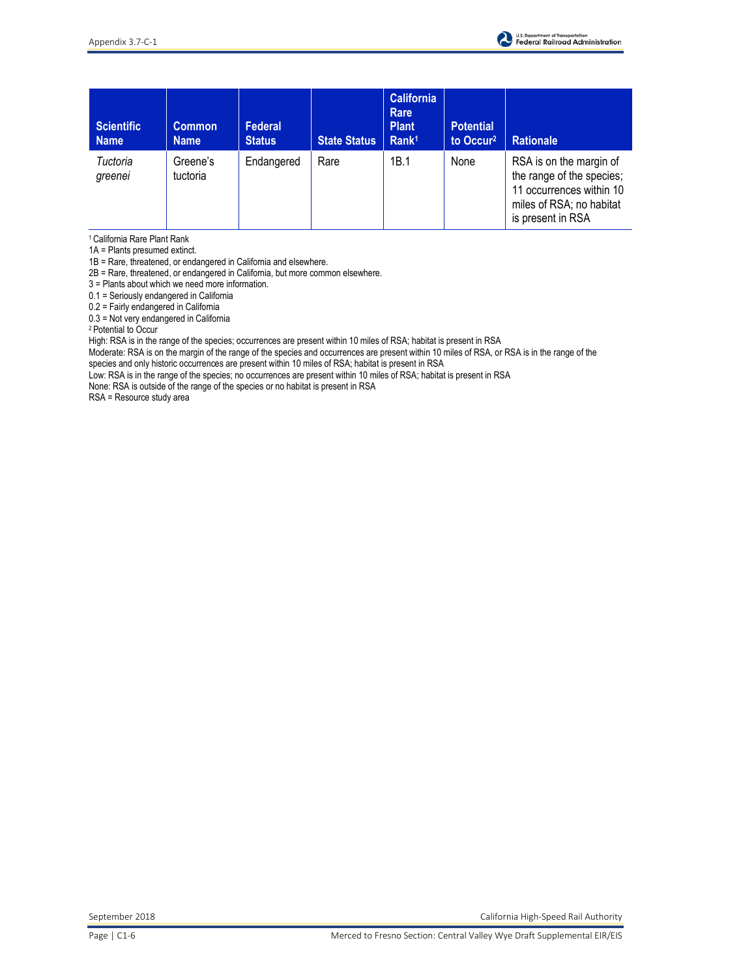

| <b>Scientific</b><br><b>Name</b> | Common<br><b>Name</b> | Federal<br><b>Status</b> | <b>State Status</b> | <b>California</b><br>Rare<br><b>Plant</b><br>Rank <sup>1</sup> | <b>Potential</b><br>to Occur <sup>2</sup> | <b>Rationale</b>                                                                                                                  |
|----------------------------------|-----------------------|--------------------------|---------------------|----------------------------------------------------------------|-------------------------------------------|-----------------------------------------------------------------------------------------------------------------------------------|
| Tuctoria<br>greenei              | Greene's<br>tuctoria  | Endangered               | Rare                | 1B.1                                                           | None                                      | RSA is on the margin of<br>the range of the species;<br>11 occurrences within 10<br>miles of RSA; no habitat<br>is present in RSA |

<sup>1</sup>California Rare Plant Rank

1A = Plants presumed extinct.

1B = Rare, threatened, or endangered in California and elsewhere.

2B = Rare, threatened, or endangered in California, but more common elsewhere.

3 = Plants about which we need more information.

0.1 = Seriously endangered in California

0.2 = Fairly endangered in California

0.3 = Not very endangered in California

<sup>2</sup>Potential to Occur

High: RSA is in the range of the species; occurrences are present within 10 miles of RSA; habitat is present in RSA

Moderate: RSA is on the margin of the range of the species and occurrences are present within 10 miles of RSA, or RSA is in the range of the species and only historic occurrences are present within 10 miles of RSA; habitat is present in RSA

Low: RSA is in the range of the species; no occurrences are present within 10 miles of RSA; habitat is present in RSA

None: RSA is outside of the range of the species or no habitat is present in RSA

RSA = Resource study area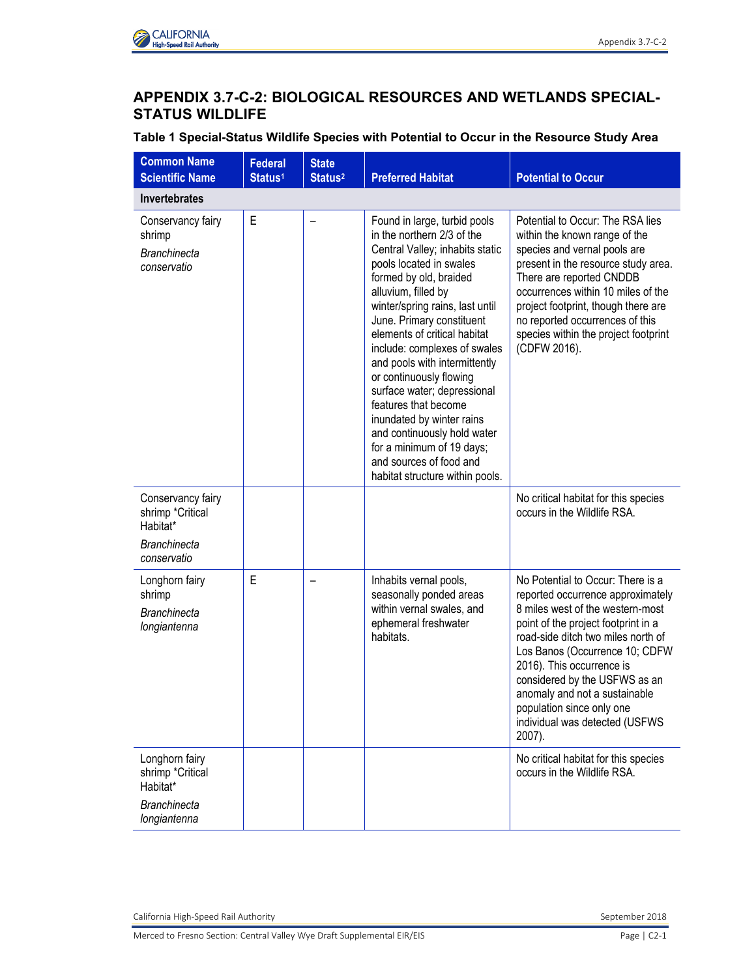

## **APPENDIX 3.7-C-2: BIOLOGICAL RESOURCES AND WETLANDS SPECIAL-STATUS WILDLIFE**

**Table 1 Special-Status Wildlife Species with Potential to Occur in the Resource Study Area** 

| <b>Common Name</b><br><b>Scientific Name</b>                                            | <b>Federal</b><br>Status <sup>1</sup> | <b>State</b><br>Status <sup>2</sup> | <b>Preferred Habitat</b>                                                                                                                                                                                                                                                                                                                                                                                                                                                                                                                                                            | <b>Potential to Occur</b>                                                                                                                                                                                                                                                                                                                                                                         |
|-----------------------------------------------------------------------------------------|---------------------------------------|-------------------------------------|-------------------------------------------------------------------------------------------------------------------------------------------------------------------------------------------------------------------------------------------------------------------------------------------------------------------------------------------------------------------------------------------------------------------------------------------------------------------------------------------------------------------------------------------------------------------------------------|---------------------------------------------------------------------------------------------------------------------------------------------------------------------------------------------------------------------------------------------------------------------------------------------------------------------------------------------------------------------------------------------------|
| Invertebrates                                                                           |                                       |                                     |                                                                                                                                                                                                                                                                                                                                                                                                                                                                                                                                                                                     |                                                                                                                                                                                                                                                                                                                                                                                                   |
| Conservancy fairy<br>shrimp<br><b>Branchinecta</b><br>conservatio                       | E                                     |                                     | Found in large, turbid pools<br>in the northern 2/3 of the<br>Central Valley; inhabits static<br>pools located in swales<br>formed by old, braided<br>alluvium, filled by<br>winter/spring rains, last until<br>June. Primary constituent<br>elements of critical habitat<br>include: complexes of swales<br>and pools with intermittently<br>or continuously flowing<br>surface water; depressional<br>features that become<br>inundated by winter rains<br>and continuously hold water<br>for a minimum of 19 days;<br>and sources of food and<br>habitat structure within pools. | Potential to Occur: The RSA lies<br>within the known range of the<br>species and vernal pools are<br>present in the resource study area.<br>There are reported CNDDB<br>occurrences within 10 miles of the<br>project footprint, though there are<br>no reported occurrences of this<br>species within the project footprint<br>(CDFW 2016).                                                      |
| Conservancy fairy<br>shrimp *Critical<br>Habitat*<br><b>Branchinecta</b><br>conservatio |                                       |                                     |                                                                                                                                                                                                                                                                                                                                                                                                                                                                                                                                                                                     | No critical habitat for this species<br>occurs in the Wildlife RSA.                                                                                                                                                                                                                                                                                                                               |
| Longhorn fairy<br>shrimp<br><b>Branchinecta</b><br>longiantenna                         | E                                     |                                     | Inhabits vernal pools,<br>seasonally ponded areas<br>within vernal swales, and<br>ephemeral freshwater<br>habitats.                                                                                                                                                                                                                                                                                                                                                                                                                                                                 | No Potential to Occur: There is a<br>reported occurrence approximately<br>8 miles west of the western-most<br>point of the project footprint in a<br>road-side ditch two miles north of<br>Los Banos (Occurrence 10; CDFW<br>2016). This occurrence is<br>considered by the USFWS as an<br>anomaly and not a sustainable<br>population since only one<br>individual was detected (USFWS<br>2007). |
| Longhorn fairy<br>shrimp *Critical<br>Habitat*<br><b>Branchinecta</b><br>longiantenna   |                                       |                                     |                                                                                                                                                                                                                                                                                                                                                                                                                                                                                                                                                                                     | No critical habitat for this species<br>occurs in the Wildlife RSA.                                                                                                                                                                                                                                                                                                                               |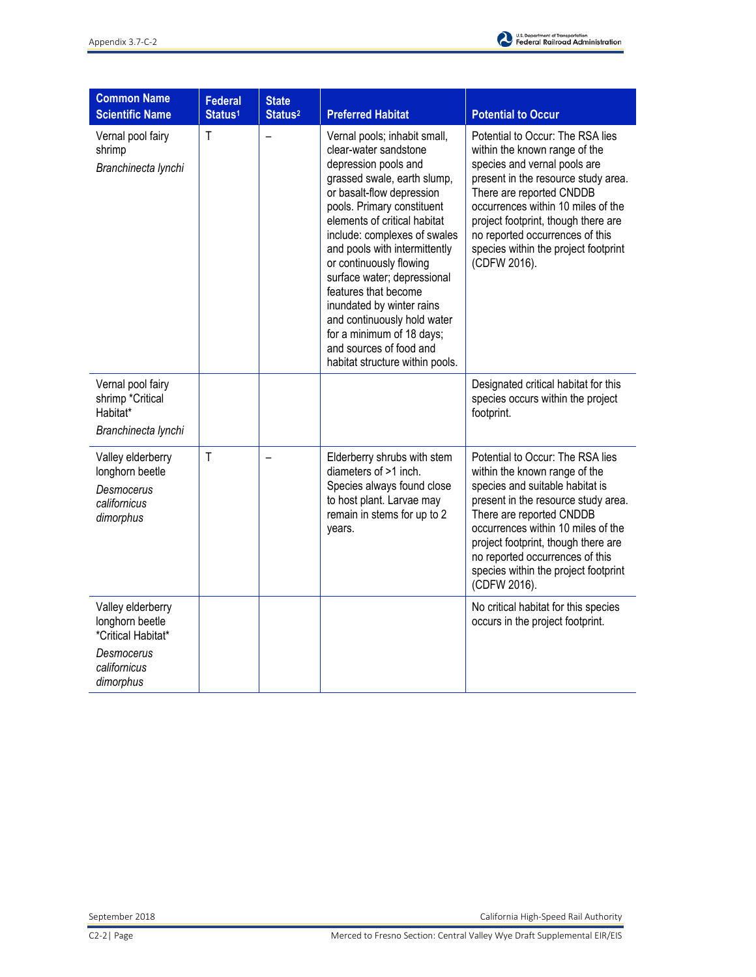

| <b>Common Name</b><br><b>Scientific Name</b>                                                          | <b>Federal</b><br>Status <sup>1</sup> | <b>State</b><br>Status <sup>2</sup> | <b>Preferred Habitat</b>                                                                                                                                                                                                                                                                                                                                                                                                                                                                                          | <b>Potential to Occur</b>                                                                                                                                                                                                                                                                                                                       |
|-------------------------------------------------------------------------------------------------------|---------------------------------------|-------------------------------------|-------------------------------------------------------------------------------------------------------------------------------------------------------------------------------------------------------------------------------------------------------------------------------------------------------------------------------------------------------------------------------------------------------------------------------------------------------------------------------------------------------------------|-------------------------------------------------------------------------------------------------------------------------------------------------------------------------------------------------------------------------------------------------------------------------------------------------------------------------------------------------|
| Vernal pool fairy<br>shrimp<br>Branchinecta lynchi                                                    | $\mathsf{T}$                          | $\overline{\phantom{0}}$            | Vernal pools; inhabit small,<br>clear-water sandstone<br>depression pools and<br>grassed swale, earth slump,<br>or basalt-flow depression<br>pools. Primary constituent<br>elements of critical habitat<br>include: complexes of swales<br>and pools with intermittently<br>or continuously flowing<br>surface water; depressional<br>features that become<br>inundated by winter rains<br>and continuously hold water<br>for a minimum of 18 days;<br>and sources of food and<br>habitat structure within pools. | Potential to Occur: The RSA lies<br>within the known range of the<br>species and vernal pools are<br>present in the resource study area.<br>There are reported CNDDB<br>occurrences within 10 miles of the<br>project footprint, though there are<br>no reported occurrences of this<br>species within the project footprint<br>(CDFW 2016).    |
| Vernal pool fairy<br>shrimp *Critical<br>Habitat*<br>Branchinecta lynchi                              |                                       |                                     |                                                                                                                                                                                                                                                                                                                                                                                                                                                                                                                   | Designated critical habitat for this<br>species occurs within the project<br>footprint.                                                                                                                                                                                                                                                         |
| Valley elderberry<br>longhorn beetle<br>Desmocerus<br>californicus<br>dimorphus                       | $\mathsf{T}$                          |                                     | Elderberry shrubs with stem<br>diameters of >1 inch.<br>Species always found close<br>to host plant. Larvae may<br>remain in stems for up to 2<br>years.                                                                                                                                                                                                                                                                                                                                                          | Potential to Occur: The RSA lies<br>within the known range of the<br>species and suitable habitat is<br>present in the resource study area.<br>There are reported CNDDB<br>occurrences within 10 miles of the<br>project footprint, though there are<br>no reported occurrences of this<br>species within the project footprint<br>(CDFW 2016). |
| Valley elderberry<br>longhorn beetle<br>*Critical Habitat*<br>Desmocerus<br>californicus<br>dimorphus |                                       |                                     |                                                                                                                                                                                                                                                                                                                                                                                                                                                                                                                   | No critical habitat for this species<br>occurs in the project footprint.                                                                                                                                                                                                                                                                        |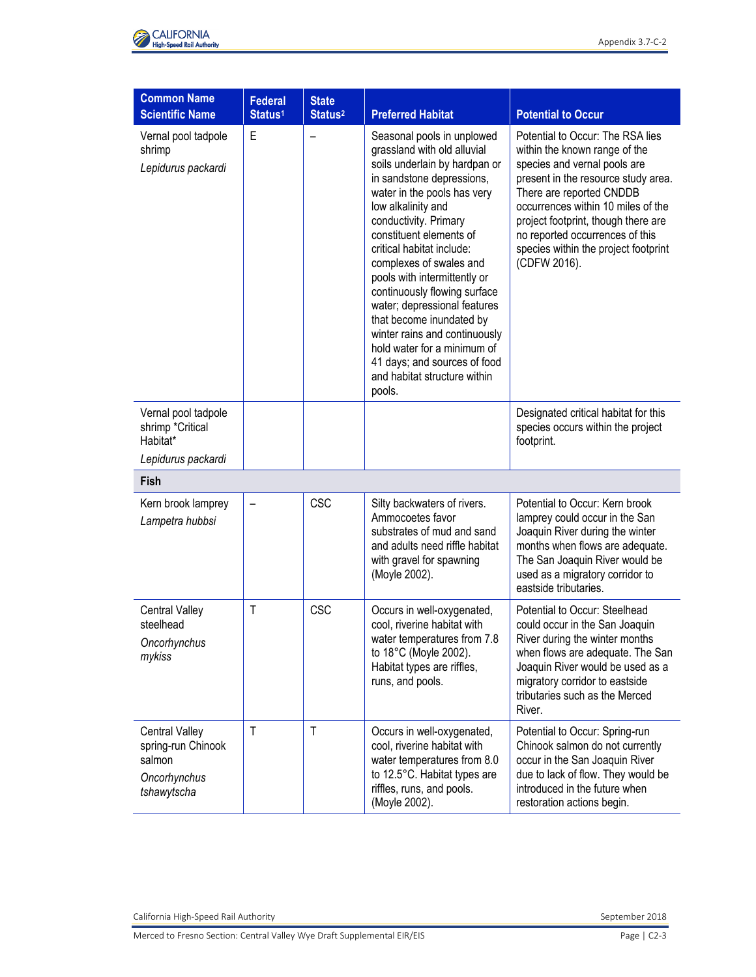

| <b>Common Name</b><br><b>Scientific Name</b>                                         | <b>Federal</b><br>Status <sup>1</sup> | <b>State</b><br>Status <sup>2</sup> | <b>Preferred Habitat</b>                                                                                                                                                                                                                                                                                                                                                                                                                                                                                                                                       | <b>Potential to Occur</b>                                                                                                                                                                                                                                                                                                                    |
|--------------------------------------------------------------------------------------|---------------------------------------|-------------------------------------|----------------------------------------------------------------------------------------------------------------------------------------------------------------------------------------------------------------------------------------------------------------------------------------------------------------------------------------------------------------------------------------------------------------------------------------------------------------------------------------------------------------------------------------------------------------|----------------------------------------------------------------------------------------------------------------------------------------------------------------------------------------------------------------------------------------------------------------------------------------------------------------------------------------------|
| Vernal pool tadpole<br>shrimp<br>Lepidurus packardi                                  | E                                     | $\qquad \qquad -$                   | Seasonal pools in unplowed<br>grassland with old alluvial<br>soils underlain by hardpan or<br>in sandstone depressions,<br>water in the pools has very<br>low alkalinity and<br>conductivity. Primary<br>constituent elements of<br>critical habitat include:<br>complexes of swales and<br>pools with intermittently or<br>continuously flowing surface<br>water; depressional features<br>that become inundated by<br>winter rains and continuously<br>hold water for a minimum of<br>41 days; and sources of food<br>and habitat structure within<br>pools. | Potential to Occur: The RSA lies<br>within the known range of the<br>species and vernal pools are<br>present in the resource study area.<br>There are reported CNDDB<br>occurrences within 10 miles of the<br>project footprint, though there are<br>no reported occurrences of this<br>species within the project footprint<br>(CDFW 2016). |
| Vernal pool tadpole<br>shrimp *Critical<br>Habitat*<br>Lepidurus packardi            |                                       |                                     |                                                                                                                                                                                                                                                                                                                                                                                                                                                                                                                                                                | Designated critical habitat for this<br>species occurs within the project<br>footprint.                                                                                                                                                                                                                                                      |
| Fish                                                                                 |                                       |                                     |                                                                                                                                                                                                                                                                                                                                                                                                                                                                                                                                                                |                                                                                                                                                                                                                                                                                                                                              |
| Kern brook lamprey<br>Lampetra hubbsi                                                |                                       | <b>CSC</b>                          | Silty backwaters of rivers.<br>Ammocoetes favor<br>substrates of mud and sand<br>and adults need riffle habitat<br>with gravel for spawning<br>(Moyle 2002).                                                                                                                                                                                                                                                                                                                                                                                                   | Potential to Occur: Kern brook<br>lamprey could occur in the San<br>Joaquin River during the winter<br>months when flows are adequate.<br>The San Joaquin River would be<br>used as a migratory corridor to<br>eastside tributaries.                                                                                                         |
| <b>Central Valley</b><br>steelhead<br>Oncorhynchus<br>mykiss                         | Т                                     | <b>CSC</b>                          | Occurs in well-oxygenated,<br>cool, riverine habitat with<br>water temperatures from 7.8<br>to 18°C (Moyle 2002).<br>Habitat types are riffles,<br>runs, and pools.                                                                                                                                                                                                                                                                                                                                                                                            | Potential to Occur: Steelhead<br>could occur in the San Joaquin<br>River during the winter months<br>when flows are adequate. The San<br>Joaquin River would be used as a<br>migratory corridor to eastside<br>tributaries such as the Merced<br>River.                                                                                      |
| <b>Central Valley</b><br>spring-run Chinook<br>salmon<br>Oncorhynchus<br>tshawytscha | Τ                                     | $\mathsf{T}$                        | Occurs in well-oxygenated,<br>cool, riverine habitat with<br>water temperatures from 8.0<br>to 12.5°C. Habitat types are<br>riffles, runs, and pools.<br>(Moyle 2002).                                                                                                                                                                                                                                                                                                                                                                                         | Potential to Occur: Spring-run<br>Chinook salmon do not currently<br>occur in the San Joaquin River<br>due to lack of flow. They would be<br>introduced in the future when<br>restoration actions begin.                                                                                                                                     |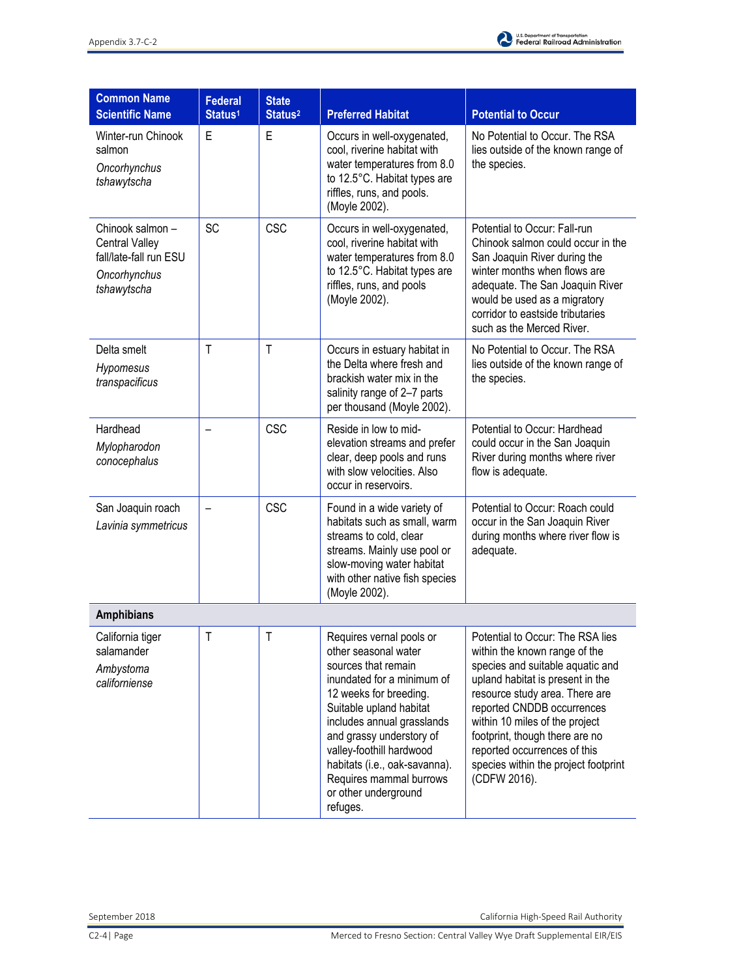

| <b>Common Name</b><br><b>Scientific Name</b>                                                      | <b>Federal</b><br>Status <sup>1</sup> | <b>State</b><br>Status <sup>2</sup> | <b>Preferred Habitat</b>                                                                                                                                                                                                                                                                                                                         | <b>Potential to Occur</b>                                                                                                                                                                                                                                                                                                                                             |
|---------------------------------------------------------------------------------------------------|---------------------------------------|-------------------------------------|--------------------------------------------------------------------------------------------------------------------------------------------------------------------------------------------------------------------------------------------------------------------------------------------------------------------------------------------------|-----------------------------------------------------------------------------------------------------------------------------------------------------------------------------------------------------------------------------------------------------------------------------------------------------------------------------------------------------------------------|
| Winter-run Chinook<br>salmon<br>Oncorhynchus<br>tshawytscha                                       | E                                     | E                                   | Occurs in well-oxygenated,<br>cool, riverine habitat with<br>water temperatures from 8.0<br>to 12.5°C. Habitat types are<br>riffles, runs, and pools.<br>(Moyle 2002).                                                                                                                                                                           | No Potential to Occur. The RSA<br>lies outside of the known range of<br>the species.                                                                                                                                                                                                                                                                                  |
| Chinook salmon-<br><b>Central Valley</b><br>fall/late-fall run ESU<br>Oncorhynchus<br>tshawytscha | <b>SC</b>                             | <b>CSC</b>                          | Occurs in well-oxygenated,<br>cool, riverine habitat with<br>water temperatures from 8.0<br>to 12.5°C. Habitat types are<br>riffles, runs, and pools<br>(Moyle 2002).                                                                                                                                                                            | Potential to Occur: Fall-run<br>Chinook salmon could occur in the<br>San Joaquin River during the<br>winter months when flows are<br>adequate. The San Joaquin River<br>would be used as a migratory<br>corridor to eastside tributaries<br>such as the Merced River.                                                                                                 |
| Delta smelt<br>Hypomesus<br>transpacificus                                                        | $\mathsf{T}$                          | $\mathsf{T}$                        | Occurs in estuary habitat in<br>the Delta where fresh and<br>brackish water mix in the<br>salinity range of 2-7 parts<br>per thousand (Moyle 2002).                                                                                                                                                                                              | No Potential to Occur. The RSA<br>lies outside of the known range of<br>the species.                                                                                                                                                                                                                                                                                  |
| Hardhead<br>Mylopharodon<br>conocephalus                                                          |                                       | <b>CSC</b>                          | Reside in low to mid-<br>elevation streams and prefer<br>clear, deep pools and runs<br>with slow velocities. Also<br>occur in reservoirs.                                                                                                                                                                                                        | Potential to Occur: Hardhead<br>could occur in the San Joaquin<br>River during months where river<br>flow is adequate.                                                                                                                                                                                                                                                |
| San Joaquin roach<br>Lavinia symmetricus                                                          |                                       | <b>CSC</b>                          | Found in a wide variety of<br>habitats such as small, warm<br>streams to cold, clear<br>streams. Mainly use pool or<br>slow-moving water habitat<br>with other native fish species<br>(Moyle 2002).                                                                                                                                              | Potential to Occur: Roach could<br>occur in the San Joaquin River<br>during months where river flow is<br>adequate.                                                                                                                                                                                                                                                   |
| <b>Amphibians</b>                                                                                 |                                       |                                     |                                                                                                                                                                                                                                                                                                                                                  |                                                                                                                                                                                                                                                                                                                                                                       |
| California tiger<br>salamander<br>Ambystoma<br>californiense                                      | $\mathsf{T}$                          | $\mathsf T$                         | Requires vernal pools or<br>other seasonal water<br>sources that remain<br>inundated for a minimum of<br>12 weeks for breeding.<br>Suitable upland habitat<br>includes annual grasslands<br>and grassy understory of<br>valley-foothill hardwood<br>habitats (i.e., oak-savanna).<br>Requires mammal burrows<br>or other underground<br>refuges. | Potential to Occur: The RSA lies<br>within the known range of the<br>species and suitable aquatic and<br>upland habitat is present in the<br>resource study area. There are<br>reported CNDDB occurrences<br>within 10 miles of the project<br>footprint, though there are no<br>reported occurrences of this<br>species within the project footprint<br>(CDFW 2016). |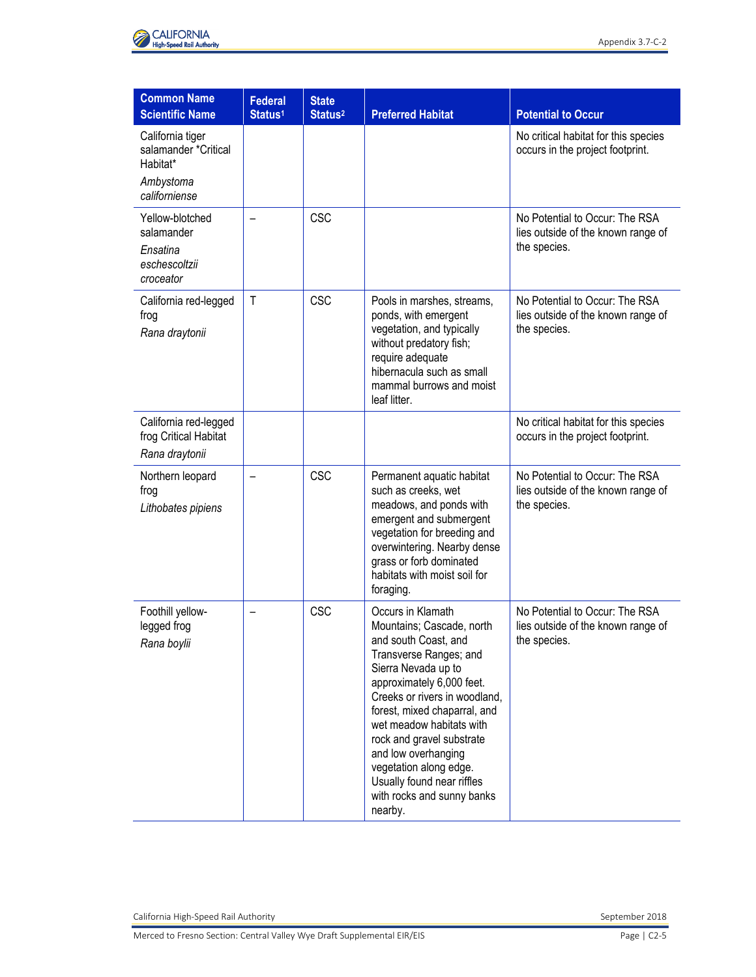

| <b>Common Name</b><br><b>Scientific Name</b>                     | <b>Federal</b><br>Status <sup>1</sup> | <b>State</b><br>Status <sup>2</sup> | <b>Preferred Habitat</b>                                                                                                                                                                                                                                                                                                                                                                               | <b>Potential to Occur</b>                                                            |
|------------------------------------------------------------------|---------------------------------------|-------------------------------------|--------------------------------------------------------------------------------------------------------------------------------------------------------------------------------------------------------------------------------------------------------------------------------------------------------------------------------------------------------------------------------------------------------|--------------------------------------------------------------------------------------|
| California tiger<br>salamander *Critical<br>Habitat*             |                                       |                                     |                                                                                                                                                                                                                                                                                                                                                                                                        | No critical habitat for this species<br>occurs in the project footprint.             |
| Ambystoma<br>californiense                                       |                                       |                                     |                                                                                                                                                                                                                                                                                                                                                                                                        |                                                                                      |
| Yellow-blotched<br>salamander                                    |                                       | <b>CSC</b>                          |                                                                                                                                                                                                                                                                                                                                                                                                        | No Potential to Occur: The RSA<br>lies outside of the known range of<br>the species. |
| Ensatina<br>eschescoltzii<br>croceator                           |                                       |                                     |                                                                                                                                                                                                                                                                                                                                                                                                        |                                                                                      |
| California red-legged<br>frog<br>Rana draytonii                  | T                                     | <b>CSC</b>                          | Pools in marshes, streams,<br>ponds, with emergent<br>vegetation, and typically<br>without predatory fish;<br>require adequate<br>hibernacula such as small<br>mammal burrows and moist<br>leaf litter.                                                                                                                                                                                                | No Potential to Occur: The RSA<br>lies outside of the known range of<br>the species. |
| California red-legged<br>frog Critical Habitat<br>Rana draytonii |                                       |                                     |                                                                                                                                                                                                                                                                                                                                                                                                        | No critical habitat for this species<br>occurs in the project footprint.             |
| Northern leopard<br>frog<br>Lithobates pipiens                   |                                       | <b>CSC</b>                          | Permanent aquatic habitat<br>such as creeks, wet<br>meadows, and ponds with<br>emergent and submergent<br>vegetation for breeding and<br>overwintering. Nearby dense<br>grass or forb dominated<br>habitats with moist soil for<br>foraging.                                                                                                                                                           | No Potential to Occur: The RSA<br>lies outside of the known range of<br>the species. |
| Foothill yellow-<br>legged frog<br>Rana boylii                   |                                       | <b>CSC</b>                          | Occurs in Klamath<br>Mountains; Cascade, north<br>and south Coast, and<br>Transverse Ranges; and<br>Sierra Nevada up to<br>approximately 6,000 feet.<br>Creeks or rivers in woodland,<br>forest, mixed chaparral, and<br>wet meadow habitats with<br>rock and gravel substrate<br>and low overhanging<br>vegetation along edge.<br>Usually found near riffles<br>with rocks and sunny banks<br>nearby. | No Potential to Occur: The RSA<br>lies outside of the known range of<br>the species. |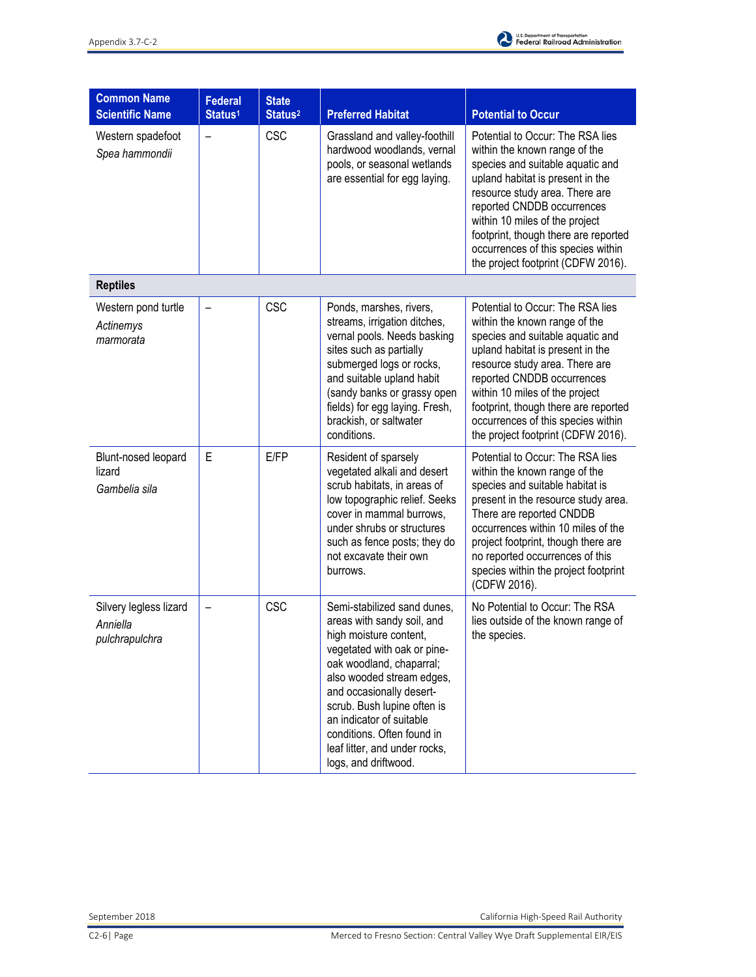

| <b>Common Name</b><br><b>Scientific Name</b>         | <b>Federal</b><br>Status <sup>1</sup> | <b>State</b><br>Status <sup>2</sup> | <b>Preferred Habitat</b>                                                                                                                                                                                                                                                                                                                                  | <b>Potential to Occur</b>                                                                                                                                                                                                                                                                                                                                       |
|------------------------------------------------------|---------------------------------------|-------------------------------------|-----------------------------------------------------------------------------------------------------------------------------------------------------------------------------------------------------------------------------------------------------------------------------------------------------------------------------------------------------------|-----------------------------------------------------------------------------------------------------------------------------------------------------------------------------------------------------------------------------------------------------------------------------------------------------------------------------------------------------------------|
| Western spadefoot<br>Spea hammondii                  | -                                     | <b>CSC</b>                          | Grassland and valley-foothill<br>hardwood woodlands, vernal<br>pools, or seasonal wetlands<br>are essential for egg laying.                                                                                                                                                                                                                               | Potential to Occur: The RSA lies<br>within the known range of the<br>species and suitable aquatic and<br>upland habitat is present in the<br>resource study area. There are<br>reported CNDDB occurrences<br>within 10 miles of the project<br>footprint, though there are reported<br>occurrences of this species within<br>the project footprint (CDFW 2016). |
| <b>Reptiles</b>                                      |                                       |                                     |                                                                                                                                                                                                                                                                                                                                                           |                                                                                                                                                                                                                                                                                                                                                                 |
| Western pond turtle<br>Actinemys<br>marmorata        |                                       | <b>CSC</b>                          | Ponds, marshes, rivers,<br>streams, irrigation ditches,<br>vernal pools. Needs basking<br>sites such as partially<br>submerged logs or rocks,<br>and suitable upland habit<br>(sandy banks or grassy open<br>fields) for egg laying. Fresh,<br>brackish, or saltwater<br>conditions.                                                                      | Potential to Occur: The RSA lies<br>within the known range of the<br>species and suitable aquatic and<br>upland habitat is present in the<br>resource study area. There are<br>reported CNDDB occurrences<br>within 10 miles of the project<br>footprint, though there are reported<br>occurrences of this species within<br>the project footprint (CDFW 2016). |
| Blunt-nosed leopard<br>lizard<br>Gambelia sila       | E                                     | E/FP                                | Resident of sparsely<br>vegetated alkali and desert<br>scrub habitats, in areas of<br>low topographic relief. Seeks<br>cover in mammal burrows,<br>under shrubs or structures<br>such as fence posts; they do<br>not excavate their own<br>burrows.                                                                                                       | Potential to Occur: The RSA lies<br>within the known range of the<br>species and suitable habitat is<br>present in the resource study area.<br>There are reported CNDDB<br>occurrences within 10 miles of the<br>project footprint, though there are<br>no reported occurrences of this<br>species within the project footprint<br>(CDFW 2016).                 |
| Silvery legless lizard<br>Anniella<br>pulchrapulchra |                                       | <b>CSC</b>                          | Semi-stabilized sand dunes,<br>areas with sandy soil, and<br>high moisture content.<br>vegetated with oak or pine-<br>oak woodland, chaparral;<br>also wooded stream edges,<br>and occasionally desert-<br>scrub. Bush lupine often is<br>an indicator of suitable<br>conditions. Often found in<br>leaf litter, and under rocks,<br>logs, and driftwood. | No Potential to Occur: The RSA<br>lies outside of the known range of<br>the species.                                                                                                                                                                                                                                                                            |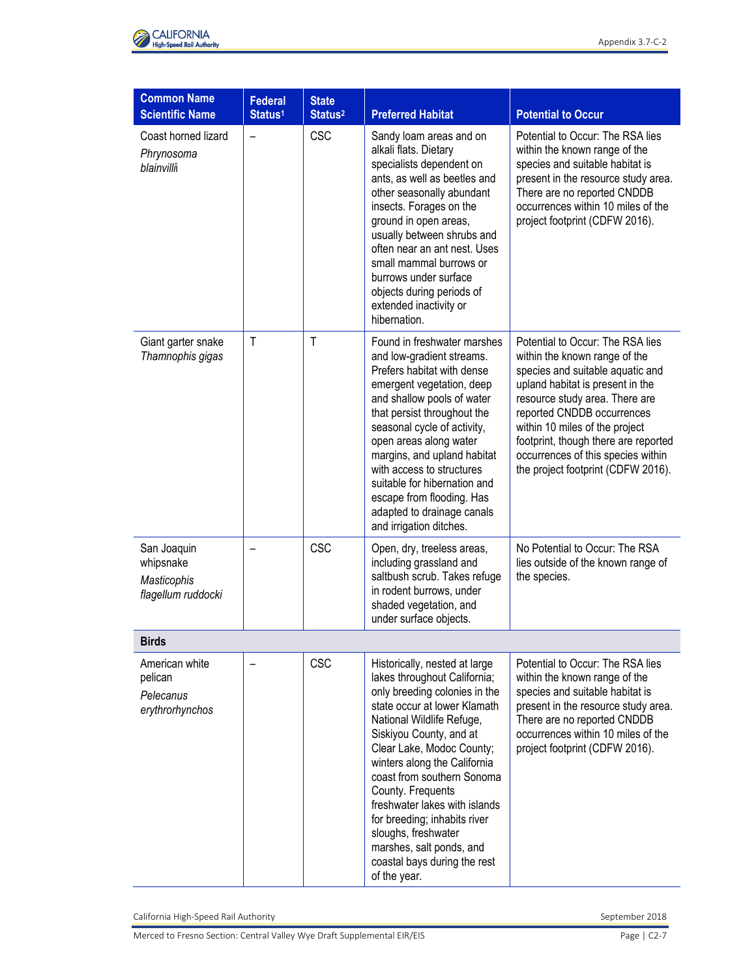

| <b>Common Name</b>                                            | <b>Federal</b>      | <b>State</b>        |                                                                                                                                                                                                                                                                                                                                                                                                                                                                            |                                                                                                                                                                                                                                                                                                                                                                 |
|---------------------------------------------------------------|---------------------|---------------------|----------------------------------------------------------------------------------------------------------------------------------------------------------------------------------------------------------------------------------------------------------------------------------------------------------------------------------------------------------------------------------------------------------------------------------------------------------------------------|-----------------------------------------------------------------------------------------------------------------------------------------------------------------------------------------------------------------------------------------------------------------------------------------------------------------------------------------------------------------|
| <b>Scientific Name</b>                                        | Status <sup>1</sup> | Status <sup>2</sup> | <b>Preferred Habitat</b>                                                                                                                                                                                                                                                                                                                                                                                                                                                   | <b>Potential to Occur</b>                                                                                                                                                                                                                                                                                                                                       |
| Coast horned lizard<br>Phrynosoma<br>blainvilli               |                     | <b>CSC</b>          | Sandy loam areas and on<br>alkali flats. Dietary<br>specialists dependent on<br>ants, as well as beetles and<br>other seasonally abundant<br>insects. Forages on the<br>ground in open areas,<br>usually between shrubs and<br>often near an ant nest. Uses<br>small mammal burrows or<br>burrows under surface<br>objects during periods of<br>extended inactivity or<br>hibernation.                                                                                     | Potential to Occur: The RSA lies<br>within the known range of the<br>species and suitable habitat is<br>present in the resource study area.<br>There are no reported CNDDB<br>occurrences within 10 miles of the<br>project footprint (CDFW 2016).                                                                                                              |
| Giant garter snake<br>Thamnophis gigas                        | $\mathsf{T}$        | $\mathsf{T}$        | Found in freshwater marshes<br>and low-gradient streams.<br>Prefers habitat with dense<br>emergent vegetation, deep<br>and shallow pools of water<br>that persist throughout the<br>seasonal cycle of activity,<br>open areas along water<br>margins, and upland habitat<br>with access to structures<br>suitable for hibernation and<br>escape from flooding. Has<br>adapted to drainage canals<br>and irrigation ditches.                                                | Potential to Occur: The RSA lies<br>within the known range of the<br>species and suitable aquatic and<br>upland habitat is present in the<br>resource study area. There are<br>reported CNDDB occurrences<br>within 10 miles of the project<br>footprint, though there are reported<br>occurrences of this species within<br>the project footprint (CDFW 2016). |
| San Joaquin<br>whipsnake<br>Masticophis<br>flagellum ruddocki |                     | <b>CSC</b>          | Open, dry, treeless areas,<br>including grassland and<br>saltbush scrub. Takes refuge<br>in rodent burrows, under<br>shaded vegetation, and<br>under surface objects.                                                                                                                                                                                                                                                                                                      | No Potential to Occur: The RSA<br>lies outside of the known range of<br>the species.                                                                                                                                                                                                                                                                            |
| <b>Birds</b>                                                  |                     |                     |                                                                                                                                                                                                                                                                                                                                                                                                                                                                            |                                                                                                                                                                                                                                                                                                                                                                 |
| American white<br>pelican<br>Pelecanus<br>erythrorhynchos     |                     | <b>CSC</b>          | Historically, nested at large<br>lakes throughout California;<br>only breeding colonies in the<br>state occur at lower Klamath<br>National Wildlife Refuge,<br>Siskiyou County, and at<br>Clear Lake, Modoc County;<br>winters along the California<br>coast from southern Sonoma<br>County. Frequents<br>freshwater lakes with islands<br>for breeding; inhabits river<br>sloughs, freshwater<br>marshes, salt ponds, and<br>coastal bays during the rest<br>of the year. | Potential to Occur: The RSA lies<br>within the known range of the<br>species and suitable habitat is<br>present in the resource study area.<br>There are no reported CNDDB<br>occurrences within 10 miles of the<br>project footprint (CDFW 2016).                                                                                                              |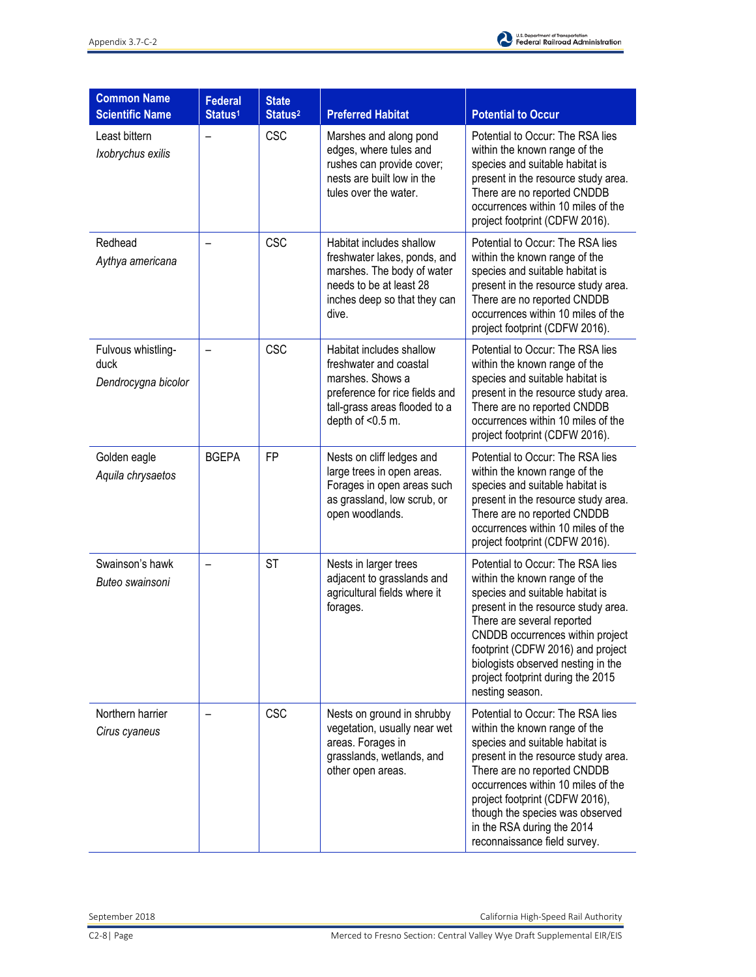

| <b>Common Name</b><br><b>Scientific Name</b>      | <b>Federal</b><br>Status <sup>1</sup> | <b>State</b><br>Status <sup>2</sup> | <b>Preferred Habitat</b>                                                                                                                                      | <b>Potential to Occur</b>                                                                                                                                                                                                                                                                                                                           |
|---------------------------------------------------|---------------------------------------|-------------------------------------|---------------------------------------------------------------------------------------------------------------------------------------------------------------|-----------------------------------------------------------------------------------------------------------------------------------------------------------------------------------------------------------------------------------------------------------------------------------------------------------------------------------------------------|
| Least bittern<br>Ixobrychus exilis                | $\qquad \qquad -$                     | <b>CSC</b>                          | Marshes and along pond<br>edges, where tules and<br>rushes can provide cover;<br>nests are built low in the<br>tules over the water.                          | Potential to Occur: The RSA lies<br>within the known range of the<br>species and suitable habitat is<br>present in the resource study area.<br>There are no reported CNDDB<br>occurrences within 10 miles of the<br>project footprint (CDFW 2016).                                                                                                  |
| Redhead<br>Aythya americana                       |                                       | <b>CSC</b>                          | Habitat includes shallow<br>freshwater lakes, ponds, and<br>marshes. The body of water<br>needs to be at least 28<br>inches deep so that they can<br>dive.    | Potential to Occur: The RSA lies<br>within the known range of the<br>species and suitable habitat is<br>present in the resource study area.<br>There are no reported CNDDB<br>occurrences within 10 miles of the<br>project footprint (CDFW 2016).                                                                                                  |
| Fulvous whistling-<br>duck<br>Dendrocygna bicolor |                                       | <b>CSC</b>                          | Habitat includes shallow<br>freshwater and coastal<br>marshes. Shows a<br>preference for rice fields and<br>tall-grass areas flooded to a<br>depth of <0.5 m. | Potential to Occur: The RSA lies<br>within the known range of the<br>species and suitable habitat is<br>present in the resource study area.<br>There are no reported CNDDB<br>occurrences within 10 miles of the<br>project footprint (CDFW 2016).                                                                                                  |
| Golden eagle<br>Aquila chrysaetos                 | <b>BGEPA</b>                          | <b>FP</b>                           | Nests on cliff ledges and<br>large trees in open areas.<br>Forages in open areas such<br>as grassland, low scrub, or<br>open woodlands.                       | Potential to Occur: The RSA lies<br>within the known range of the<br>species and suitable habitat is<br>present in the resource study area.<br>There are no reported CNDDB<br>occurrences within 10 miles of the<br>project footprint (CDFW 2016).                                                                                                  |
| Swainson's hawk<br>Buteo swainsoni                |                                       | <b>ST</b>                           | Nests in larger trees<br>adjacent to grasslands and<br>agricultural fields where it<br>forages.                                                               | Potential to Occur: The RSA lies<br>within the known range of the<br>species and suitable habitat is<br>present in the resource study area.<br>There are several reported<br>CNDDB occurrences within project<br>footprint (CDFW 2016) and project<br>biologists observed nesting in the<br>project footprint during the 2015<br>nesting season.    |
| Northern harrier<br>Cirus cyaneus                 |                                       | <b>CSC</b>                          | Nests on ground in shrubby<br>vegetation, usually near wet<br>areas. Forages in<br>grasslands, wetlands, and<br>other open areas.                             | Potential to Occur: The RSA lies<br>within the known range of the<br>species and suitable habitat is<br>present in the resource study area.<br>There are no reported CNDDB<br>occurrences within 10 miles of the<br>project footprint (CDFW 2016),<br>though the species was observed<br>in the RSA during the 2014<br>reconnaissance field survey. |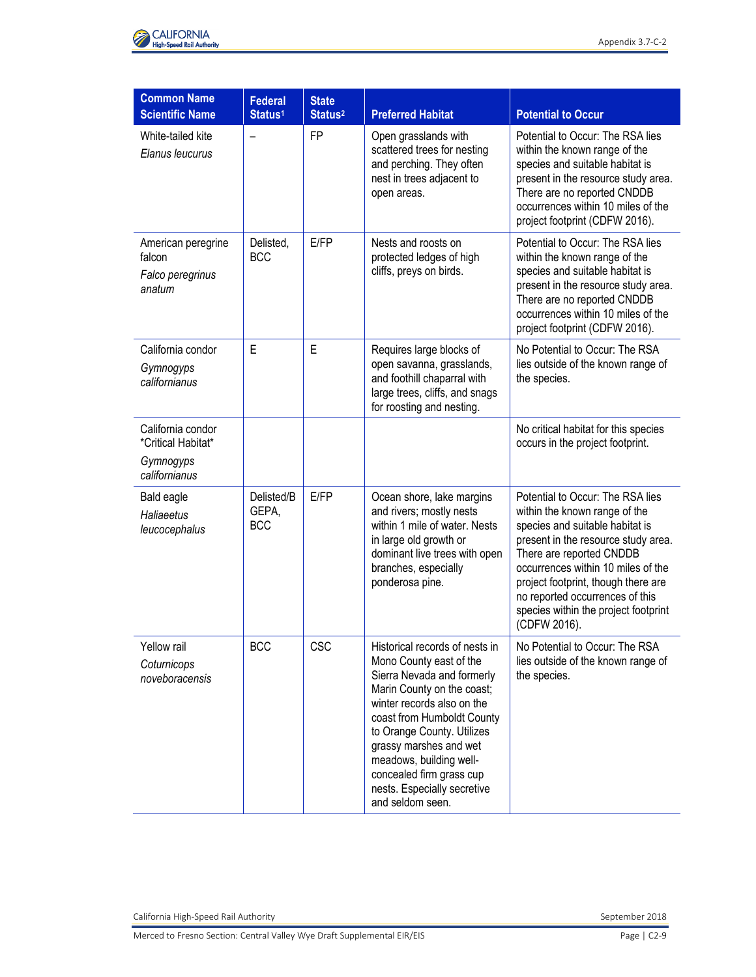



| <b>Common Name</b><br><b>Scientific Name</b>                          | <b>Federal</b><br>Status <sup>1</sup> | <b>State</b><br>Status <sup>2</sup> | <b>Preferred Habitat</b>                                                                                                                                                                                                                                                                                                                            | <b>Potential to Occur</b>                                                                                                                                                                                                                                                                                                                       |
|-----------------------------------------------------------------------|---------------------------------------|-------------------------------------|-----------------------------------------------------------------------------------------------------------------------------------------------------------------------------------------------------------------------------------------------------------------------------------------------------------------------------------------------------|-------------------------------------------------------------------------------------------------------------------------------------------------------------------------------------------------------------------------------------------------------------------------------------------------------------------------------------------------|
| White-tailed kite<br>Elanus leucurus                                  |                                       | <b>FP</b>                           | Open grasslands with<br>scattered trees for nesting<br>and perching. They often<br>nest in trees adjacent to<br>open areas.                                                                                                                                                                                                                         | Potential to Occur: The RSA lies<br>within the known range of the<br>species and suitable habitat is<br>present in the resource study area.<br>There are no reported CNDDB<br>occurrences within 10 miles of the<br>project footprint (CDFW 2016).                                                                                              |
| American peregrine<br>falcon<br>Falco peregrinus<br>anatum            | Delisted,<br><b>BCC</b>               | E/FP                                | Nests and roosts on<br>protected ledges of high<br>cliffs, preys on birds.                                                                                                                                                                                                                                                                          | Potential to Occur: The RSA lies<br>within the known range of the<br>species and suitable habitat is<br>present in the resource study area.<br>There are no reported CNDDB<br>occurrences within 10 miles of the<br>project footprint (CDFW 2016).                                                                                              |
| California condor<br>Gymnogyps<br>californianus                       | E                                     | E                                   | Requires large blocks of<br>open savanna, grasslands,<br>and foothill chaparral with<br>large trees, cliffs, and snags<br>for roosting and nesting.                                                                                                                                                                                                 | No Potential to Occur: The RSA<br>lies outside of the known range of<br>the species.                                                                                                                                                                                                                                                            |
| California condor<br>*Critical Habitat*<br>Gymnogyps<br>californianus |                                       |                                     |                                                                                                                                                                                                                                                                                                                                                     | No critical habitat for this species<br>occurs in the project footprint.                                                                                                                                                                                                                                                                        |
| Bald eagle<br>Haliaeetus<br>leucocephalus                             | Delisted/B<br>GEPA,<br><b>BCC</b>     | E/FP                                | Ocean shore, lake margins<br>and rivers; mostly nests<br>within 1 mile of water. Nests<br>in large old growth or<br>dominant live trees with open<br>branches, especially<br>ponderosa pine.                                                                                                                                                        | Potential to Occur: The RSA lies<br>within the known range of the<br>species and suitable habitat is<br>present in the resource study area.<br>There are reported CNDDB<br>occurrences within 10 miles of the<br>project footprint, though there are<br>no reported occurrences of this<br>species within the project footprint<br>(CDFW 2016). |
| Yellow rail<br>Coturnicops<br>noveboracensis                          | <b>BCC</b>                            | CSC                                 | Historical records of nests in<br>Mono County east of the<br>Sierra Nevada and formerly<br>Marin County on the coast;<br>winter records also on the<br>coast from Humboldt County<br>to Orange County. Utilizes<br>grassy marshes and wet<br>meadows, building well-<br>concealed firm grass cup<br>nests. Especially secretive<br>and seldom seen. | No Potential to Occur: The RSA<br>lies outside of the known range of<br>the species.                                                                                                                                                                                                                                                            |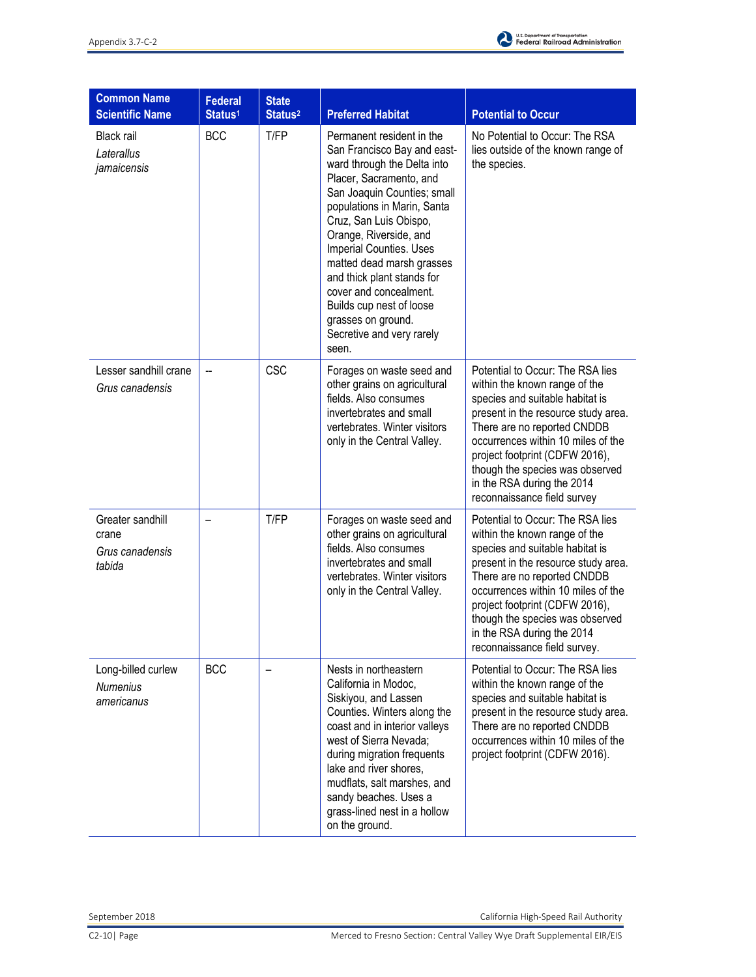

| <b>Common Name</b><br><b>Scientific Name</b>           | <b>Federal</b><br>Status <sup>1</sup> | <b>State</b><br>Status <sup>2</sup> | <b>Preferred Habitat</b>                                                                                                                                                                                                                                                                                                                                                                                                                            | <b>Potential to Occur</b>                                                                                                                                                                                                                                                                                                                           |
|--------------------------------------------------------|---------------------------------------|-------------------------------------|-----------------------------------------------------------------------------------------------------------------------------------------------------------------------------------------------------------------------------------------------------------------------------------------------------------------------------------------------------------------------------------------------------------------------------------------------------|-----------------------------------------------------------------------------------------------------------------------------------------------------------------------------------------------------------------------------------------------------------------------------------------------------------------------------------------------------|
| Black rail<br>Laterallus<br>jamaicensis                | <b>BCC</b>                            | T/FP                                | Permanent resident in the<br>San Francisco Bay and east-<br>ward through the Delta into<br>Placer, Sacramento, and<br>San Joaquin Counties; small<br>populations in Marin, Santa<br>Cruz, San Luis Obispo,<br>Orange, Riverside, and<br><b>Imperial Counties. Uses</b><br>matted dead marsh grasses<br>and thick plant stands for<br>cover and concealment.<br>Builds cup nest of loose<br>grasses on ground.<br>Secretive and very rarely<br>seen. | No Potential to Occur: The RSA<br>lies outside of the known range of<br>the species.                                                                                                                                                                                                                                                                |
| Lesser sandhill crane<br>Grus canadensis               | $\overline{\phantom{a}}$              | <b>CSC</b>                          | Forages on waste seed and<br>other grains on agricultural<br>fields. Also consumes<br>invertebrates and small<br>vertebrates. Winter visitors<br>only in the Central Valley.                                                                                                                                                                                                                                                                        | Potential to Occur: The RSA lies<br>within the known range of the<br>species and suitable habitat is<br>present in the resource study area.<br>There are no reported CNDDB<br>occurrences within 10 miles of the<br>project footprint (CDFW 2016),<br>though the species was observed<br>in the RSA during the 2014<br>reconnaissance field survey  |
| Greater sandhill<br>crane<br>Grus canadensis<br>tabida |                                       | T/FP                                | Forages on waste seed and<br>other grains on agricultural<br>fields. Also consumes<br>invertebrates and small<br>vertebrates. Winter visitors<br>only in the Central Valley.                                                                                                                                                                                                                                                                        | Potential to Occur: The RSA lies<br>within the known range of the<br>species and suitable habitat is<br>present in the resource study area.<br>There are no reported CNDDB<br>occurrences within 10 miles of the<br>project footprint (CDFW 2016),<br>though the species was observed<br>in the RSA during the 2014<br>reconnaissance field survey. |
| Long-billed curlew<br><b>Numenius</b><br>americanus    | <b>BCC</b>                            | —                                   | Nests in northeastern<br>California in Modoc,<br>Siskiyou, and Lassen<br>Counties. Winters along the<br>coast and in interior valleys<br>west of Sierra Nevada;<br>during migration frequents<br>lake and river shores,<br>mudflats, salt marshes, and<br>sandy beaches. Uses a<br>grass-lined nest in a hollow<br>on the ground.                                                                                                                   | Potential to Occur: The RSA lies<br>within the known range of the<br>species and suitable habitat is<br>present in the resource study area.<br>There are no reported CNDDB<br>occurrences within 10 miles of the<br>project footprint (CDFW 2016).                                                                                                  |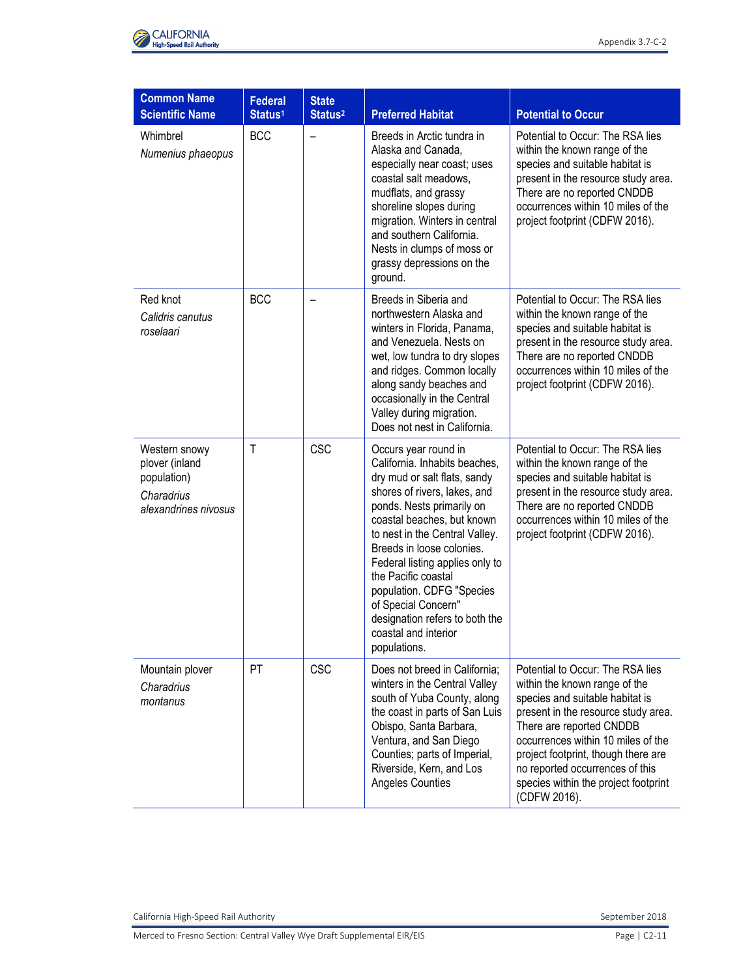

| <b>Common Name</b>                                                                   |                                       |                                     |                                                                                                                                                                                                                                                                                                                                                                                                                                         |                                                                                                                                                                                                                                                                                                                                                 |
|--------------------------------------------------------------------------------------|---------------------------------------|-------------------------------------|-----------------------------------------------------------------------------------------------------------------------------------------------------------------------------------------------------------------------------------------------------------------------------------------------------------------------------------------------------------------------------------------------------------------------------------------|-------------------------------------------------------------------------------------------------------------------------------------------------------------------------------------------------------------------------------------------------------------------------------------------------------------------------------------------------|
| <b>Scientific Name</b>                                                               | <b>Federal</b><br>Status <sup>1</sup> | <b>State</b><br>Status <sup>2</sup> | <b>Preferred Habitat</b>                                                                                                                                                                                                                                                                                                                                                                                                                | <b>Potential to Occur</b>                                                                                                                                                                                                                                                                                                                       |
| Whimbrel<br>Numenius phaeopus                                                        | <b>BCC</b>                            |                                     | Breeds in Arctic tundra in<br>Alaska and Canada,<br>especially near coast; uses<br>coastal salt meadows,<br>mudflats, and grassy<br>shoreline slopes during<br>migration. Winters in central<br>and southern California.<br>Nests in clumps of moss or<br>grassy depressions on the<br>ground.                                                                                                                                          | Potential to Occur: The RSA lies<br>within the known range of the<br>species and suitable habitat is<br>present in the resource study area.<br>There are no reported CNDDB<br>occurrences within 10 miles of the<br>project footprint (CDFW 2016).                                                                                              |
| Red knot<br>Calidris canutus<br>roselaari                                            | <b>BCC</b>                            |                                     | Breeds in Siberia and<br>northwestern Alaska and<br>winters in Florida, Panama,<br>and Venezuela. Nests on<br>wet, low tundra to dry slopes<br>and ridges. Common locally<br>along sandy beaches and<br>occasionally in the Central<br>Valley during migration.<br>Does not nest in California.                                                                                                                                         | Potential to Occur: The RSA lies<br>within the known range of the<br>species and suitable habitat is<br>present in the resource study area.<br>There are no reported CNDDB<br>occurrences within 10 miles of the<br>project footprint (CDFW 2016).                                                                                              |
| Western snowy<br>plover (inland<br>population)<br>Charadrius<br>alexandrines nivosus | Τ                                     | <b>CSC</b>                          | Occurs year round in<br>California. Inhabits beaches,<br>dry mud or salt flats, sandy<br>shores of rivers, lakes, and<br>ponds. Nests primarily on<br>coastal beaches, but known<br>to nest in the Central Valley.<br>Breeds in loose colonies.<br>Federal listing applies only to<br>the Pacific coastal<br>population. CDFG "Species<br>of Special Concern"<br>designation refers to both the<br>coastal and interior<br>populations. | Potential to Occur: The RSA lies<br>within the known range of the<br>species and suitable habitat is<br>present in the resource study area.<br>There are no reported CNDDB<br>occurrences within 10 miles of the<br>project footprint (CDFW 2016).                                                                                              |
| Mountain plover<br>Charadrius<br>montanus                                            | PT                                    | <b>CSC</b>                          | Does not breed in California;<br>winters in the Central Valley<br>south of Yuba County, along<br>the coast in parts of San Luis<br>Obispo, Santa Barbara,<br>Ventura, and San Diego<br>Counties; parts of Imperial,<br>Riverside, Kern, and Los<br>Angeles Counties                                                                                                                                                                     | Potential to Occur: The RSA lies<br>within the known range of the<br>species and suitable habitat is<br>present in the resource study area.<br>There are reported CNDDB<br>occurrences within 10 miles of the<br>project footprint, though there are<br>no reported occurrences of this<br>species within the project footprint<br>(CDFW 2016). |

Merced to Fresno Section: Central Valley Wye Draft Supplemental EIR/EIS Page 1 C2-11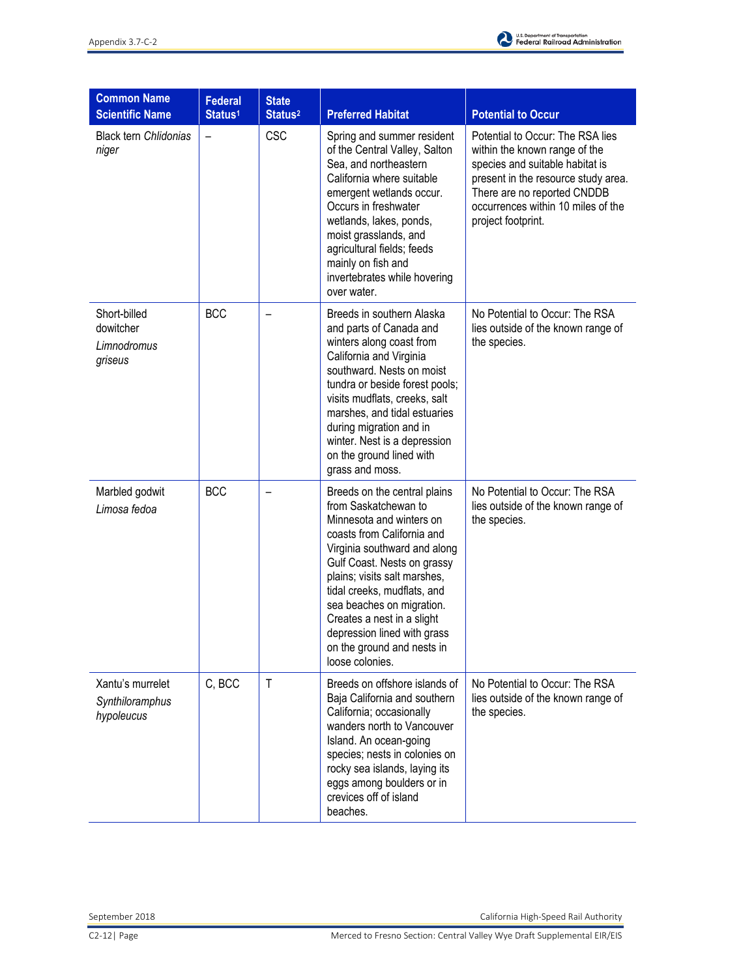

| <b>Common Name</b><br><b>Scientific Name</b>        | <b>Federal</b><br>Status <sup>1</sup> | <b>State</b><br>Status <sup>2</sup> | <b>Preferred Habitat</b>                                                                                                                                                                                                                                                                                                                                                                | <b>Potential to Occur</b>                                                                                                                                                                                                              |
|-----------------------------------------------------|---------------------------------------|-------------------------------------|-----------------------------------------------------------------------------------------------------------------------------------------------------------------------------------------------------------------------------------------------------------------------------------------------------------------------------------------------------------------------------------------|----------------------------------------------------------------------------------------------------------------------------------------------------------------------------------------------------------------------------------------|
| <b>Black tern Chlidonias</b><br>niger               |                                       | <b>CSC</b>                          | Spring and summer resident<br>of the Central Valley, Salton<br>Sea, and northeastern<br>California where suitable<br>emergent wetlands occur.<br>Occurs in freshwater<br>wetlands, lakes, ponds,<br>moist grasslands, and<br>agricultural fields; feeds<br>mainly on fish and<br>invertebrates while hovering<br>over water.                                                            | Potential to Occur: The RSA lies<br>within the known range of the<br>species and suitable habitat is<br>present in the resource study area.<br>There are no reported CNDDB<br>occurrences within 10 miles of the<br>project footprint. |
| Short-billed<br>dowitcher<br>Limnodromus<br>griseus | <b>BCC</b>                            |                                     | Breeds in southern Alaska<br>and parts of Canada and<br>winters along coast from<br>California and Virginia<br>southward. Nests on moist<br>tundra or beside forest pools;<br>visits mudflats, creeks, salt<br>marshes, and tidal estuaries<br>during migration and in<br>winter. Nest is a depression<br>on the ground lined with<br>grass and moss.                                   | No Potential to Occur: The RSA<br>lies outside of the known range of<br>the species.                                                                                                                                                   |
| Marbled godwit<br>Limosa fedoa                      | <b>BCC</b>                            | $\overline{\phantom{0}}$            | Breeds on the central plains<br>from Saskatchewan to<br>Minnesota and winters on<br>coasts from California and<br>Virginia southward and along<br>Gulf Coast. Nests on grassy<br>plains; visits salt marshes,<br>tidal creeks, mudflats, and<br>sea beaches on migration.<br>Creates a nest in a slight<br>depression lined with grass<br>on the ground and nests in<br>loose colonies. | No Potential to Occur: The RSA<br>lies outside of the known range of<br>the species.                                                                                                                                                   |
| Xantu's murrelet<br>Synthiloramphus<br>hypoleucus   | C, BCC                                | $\mathsf{T}$                        | Breeds on offshore islands of<br>Baja California and southern<br>California; occasionally<br>wanders north to Vancouver<br>Island. An ocean-going<br>species; nests in colonies on<br>rocky sea islands, laying its<br>eggs among boulders or in<br>crevices off of island<br>beaches.                                                                                                  | No Potential to Occur: The RSA<br>lies outside of the known range of<br>the species.                                                                                                                                                   |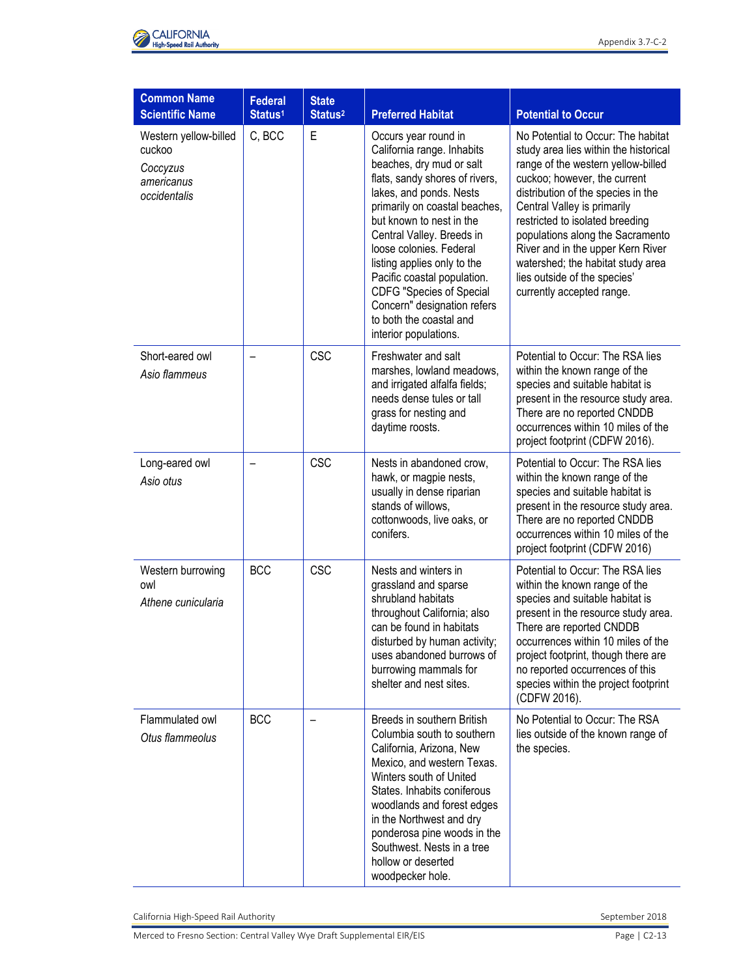

| <b>Common Name</b>                                                        |                                       |                                     |                                                                                                                                                                                                                                                                                                                                                                                                                                                      |                                                                                                                                                                                                                                                                                                                                                                                                                                      |
|---------------------------------------------------------------------------|---------------------------------------|-------------------------------------|------------------------------------------------------------------------------------------------------------------------------------------------------------------------------------------------------------------------------------------------------------------------------------------------------------------------------------------------------------------------------------------------------------------------------------------------------|--------------------------------------------------------------------------------------------------------------------------------------------------------------------------------------------------------------------------------------------------------------------------------------------------------------------------------------------------------------------------------------------------------------------------------------|
| <b>Scientific Name</b>                                                    | <b>Federal</b><br>Status <sup>1</sup> | <b>State</b><br>Status <sup>2</sup> | <b>Preferred Habitat</b>                                                                                                                                                                                                                                                                                                                                                                                                                             | <b>Potential to Occur</b>                                                                                                                                                                                                                                                                                                                                                                                                            |
| Western yellow-billed<br>cuckoo<br>Coccyzus<br>americanus<br>occidentalis | C, BCC                                | E                                   | Occurs year round in<br>California range. Inhabits<br>beaches, dry mud or salt<br>flats, sandy shores of rivers,<br>lakes, and ponds. Nests<br>primarily on coastal beaches,<br>but known to nest in the<br>Central Valley. Breeds in<br>loose colonies. Federal<br>listing applies only to the<br>Pacific coastal population.<br><b>CDFG "Species of Special</b><br>Concern" designation refers<br>to both the coastal and<br>interior populations. | No Potential to Occur: The habitat<br>study area lies within the historical<br>range of the western yellow-billed<br>cuckoo; however, the current<br>distribution of the species in the<br>Central Valley is primarily<br>restricted to isolated breeding<br>populations along the Sacramento<br>River and in the upper Kern River<br>watershed; the habitat study area<br>lies outside of the species'<br>currently accepted range. |
| Short-eared owl<br>Asio flammeus                                          |                                       | <b>CSC</b>                          | Freshwater and salt<br>marshes, lowland meadows,<br>and irrigated alfalfa fields;<br>needs dense tules or tall<br>grass for nesting and<br>daytime roosts.                                                                                                                                                                                                                                                                                           | Potential to Occur: The RSA lies<br>within the known range of the<br>species and suitable habitat is<br>present in the resource study area.<br>There are no reported CNDDB<br>occurrences within 10 miles of the<br>project footprint (CDFW 2016).                                                                                                                                                                                   |
| Long-eared owl<br>Asio otus                                               |                                       | <b>CSC</b>                          | Nests in abandoned crow,<br>hawk, or magpie nests,<br>usually in dense riparian<br>stands of willows,<br>cottonwoods, live oaks, or<br>conifers.                                                                                                                                                                                                                                                                                                     | Potential to Occur: The RSA lies<br>within the known range of the<br>species and suitable habitat is<br>present in the resource study area.<br>There are no reported CNDDB<br>occurrences within 10 miles of the<br>project footprint (CDFW 2016)                                                                                                                                                                                    |
| Western burrowing<br>owl<br>Athene cunicularia                            | <b>BCC</b>                            | <b>CSC</b>                          | Nests and winters in<br>grassland and sparse<br>shrubland habitats<br>throughout California; also<br>can be found in habitats<br>disturbed by human activity;<br>uses abandoned burrows of<br>burrowing mammals for<br>shelter and nest sites.                                                                                                                                                                                                       | Potential to Occur: The RSA lies<br>within the known range of the<br>species and suitable habitat is<br>present in the resource study area.<br>There are reported CNDDB<br>occurrences within 10 miles of the<br>project footprint, though there are<br>no reported occurrences of this<br>species within the project footprint<br>(CDFW 2016).                                                                                      |
| Flammulated owl<br>Otus flammeolus                                        | <b>BCC</b>                            |                                     | Breeds in southern British<br>Columbia south to southern<br>California, Arizona, New<br>Mexico, and western Texas.<br>Winters south of United<br>States. Inhabits coniferous<br>woodlands and forest edges<br>in the Northwest and dry<br>ponderosa pine woods in the<br>Southwest. Nests in a tree<br>hollow or deserted<br>woodpecker hole.                                                                                                        | No Potential to Occur: The RSA<br>lies outside of the known range of<br>the species.                                                                                                                                                                                                                                                                                                                                                 |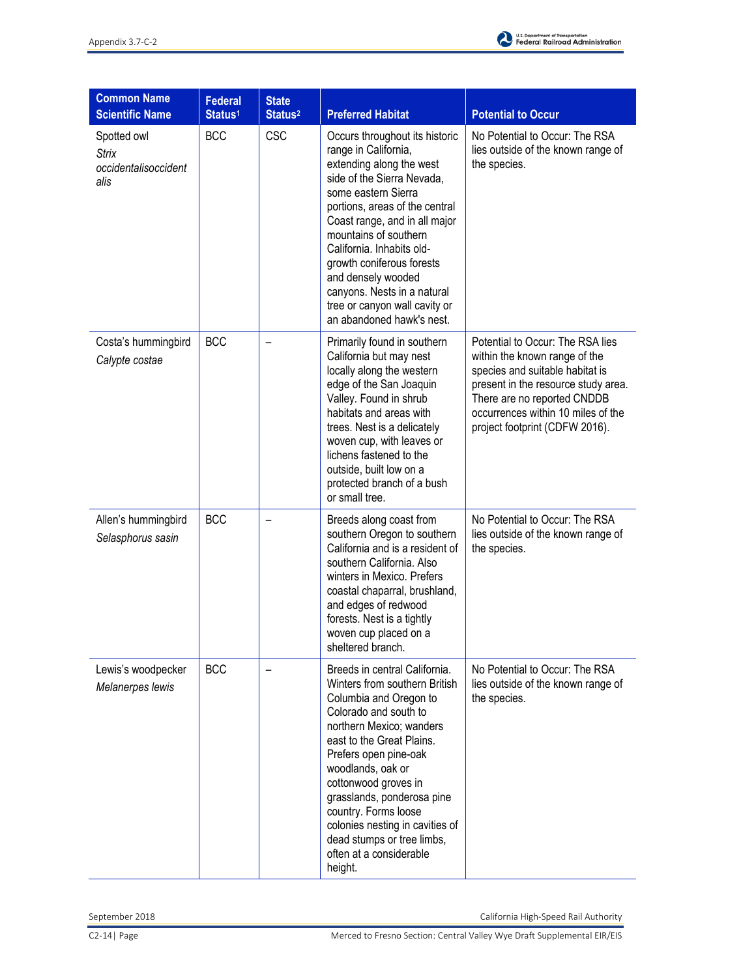

| <b>Common Name</b><br><b>Scientific Name</b>                | <b>Federal</b><br>Status <sup>1</sup> | <b>State</b><br>Status <sup>2</sup> | <b>Preferred Habitat</b>                                                                                                                                                                                                                                                                                                                                                                                         | <b>Potential to Occur</b>                                                                                                                                                                                                                          |
|-------------------------------------------------------------|---------------------------------------|-------------------------------------|------------------------------------------------------------------------------------------------------------------------------------------------------------------------------------------------------------------------------------------------------------------------------------------------------------------------------------------------------------------------------------------------------------------|----------------------------------------------------------------------------------------------------------------------------------------------------------------------------------------------------------------------------------------------------|
| Spotted owl<br><b>Strix</b><br>occidentalisoccident<br>alis | <b>BCC</b>                            | <b>CSC</b>                          | Occurs throughout its historic<br>range in California,<br>extending along the west<br>side of the Sierra Nevada,<br>some eastern Sierra<br>portions, areas of the central<br>Coast range, and in all major<br>mountains of southern<br>California. Inhabits old-<br>growth coniferous forests<br>and densely wooded<br>canyons. Nests in a natural<br>tree or canyon wall cavity or<br>an abandoned hawk's nest. | No Potential to Occur: The RSA<br>lies outside of the known range of<br>the species.                                                                                                                                                               |
| Costa's hummingbird<br>Calypte costae                       | <b>BCC</b>                            |                                     | Primarily found in southern<br>California but may nest<br>locally along the western<br>edge of the San Joaquin<br>Valley. Found in shrub<br>habitats and areas with<br>trees. Nest is a delicately<br>woven cup, with leaves or<br>lichens fastened to the<br>outside, built low on a<br>protected branch of a bush<br>or small tree.                                                                            | Potential to Occur: The RSA lies<br>within the known range of the<br>species and suitable habitat is<br>present in the resource study area.<br>There are no reported CNDDB<br>occurrences within 10 miles of the<br>project footprint (CDFW 2016). |
| Allen's hummingbird<br>Selasphorus sasin                    | <b>BCC</b>                            |                                     | Breeds along coast from<br>southern Oregon to southern<br>California and is a resident of<br>southern California. Also<br>winters in Mexico. Prefers<br>coastal chaparral, brushland,<br>and edges of redwood<br>forests. Nest is a tightly<br>woven cup placed on a<br>sheltered branch.                                                                                                                        | No Potential to Occur: The RSA<br>lies outside of the known range of<br>the species.                                                                                                                                                               |
| Lewis's woodpecker<br>Melanerpes lewis                      | <b>BCC</b>                            | -                                   | Breeds in central California.<br>Winters from southern British<br>Columbia and Oregon to<br>Colorado and south to<br>northern Mexico; wanders<br>east to the Great Plains.<br>Prefers open pine-oak<br>woodlands, oak or<br>cottonwood groves in<br>grasslands, ponderosa pine<br>country. Forms loose<br>colonies nesting in cavities of<br>dead stumps or tree limbs,<br>often at a considerable<br>height.    | No Potential to Occur: The RSA<br>lies outside of the known range of<br>the species.                                                                                                                                                               |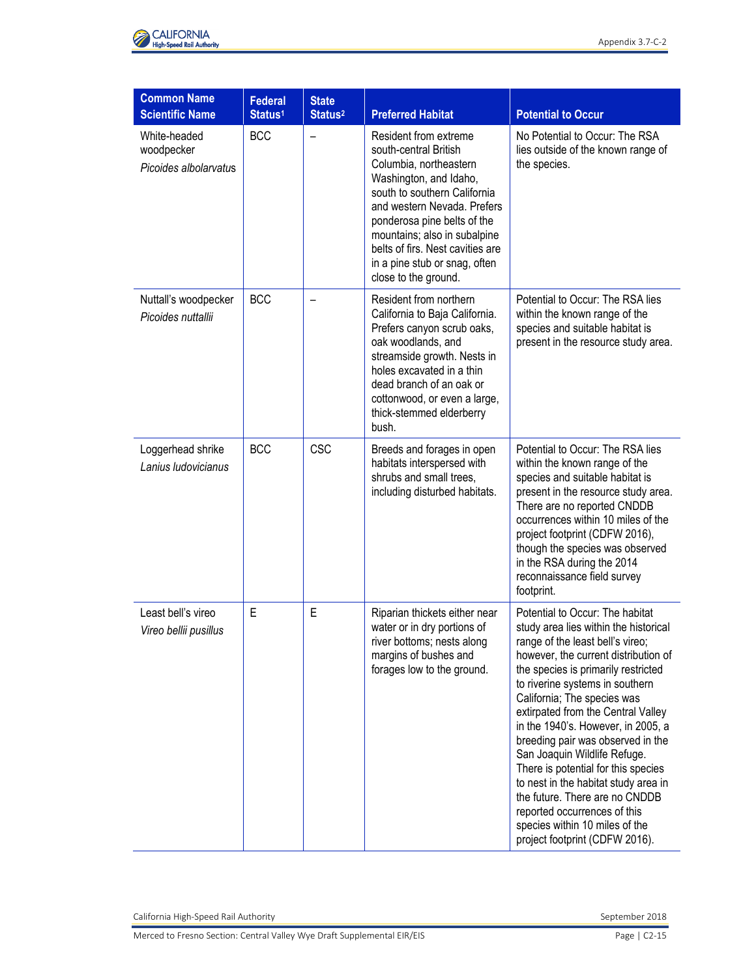

| <b>Common Name</b><br><b>Scientific Name</b>        | <b>Federal</b><br>Status <sup>1</sup> | <b>State</b><br>Status <sup>2</sup> | <b>Preferred Habitat</b>                                                                                                                                                                                                                                                                                                      | <b>Potential to Occur</b>                                                                                                                                                                                                                                                                                                                                                                                                                                                                                                                                                                                                           |
|-----------------------------------------------------|---------------------------------------|-------------------------------------|-------------------------------------------------------------------------------------------------------------------------------------------------------------------------------------------------------------------------------------------------------------------------------------------------------------------------------|-------------------------------------------------------------------------------------------------------------------------------------------------------------------------------------------------------------------------------------------------------------------------------------------------------------------------------------------------------------------------------------------------------------------------------------------------------------------------------------------------------------------------------------------------------------------------------------------------------------------------------------|
| White-headed<br>woodpecker<br>Picoides albolarvatus | <b>BCC</b>                            |                                     | Resident from extreme<br>south-central British<br>Columbia, northeastern<br>Washington, and Idaho,<br>south to southern California<br>and western Nevada. Prefers<br>ponderosa pine belts of the<br>mountains; also in subalpine<br>belts of firs. Nest cavities are<br>in a pine stub or snag, often<br>close to the ground. | No Potential to Occur: The RSA<br>lies outside of the known range of<br>the species.                                                                                                                                                                                                                                                                                                                                                                                                                                                                                                                                                |
| Nuttall's woodpecker<br>Picoides nuttallii          | <b>BCC</b>                            |                                     | Resident from northern<br>California to Baja California.<br>Prefers canyon scrub oaks,<br>oak woodlands, and<br>streamside growth. Nests in<br>holes excavated in a thin<br>dead branch of an oak or<br>cottonwood, or even a large,<br>thick-stemmed elderberry<br>bush.                                                     | Potential to Occur: The RSA lies<br>within the known range of the<br>species and suitable habitat is<br>present in the resource study area.                                                                                                                                                                                                                                                                                                                                                                                                                                                                                         |
| Loggerhead shrike<br>Lanius Iudovicianus            | <b>BCC</b>                            | <b>CSC</b>                          | Breeds and forages in open<br>habitats interspersed with<br>shrubs and small trees,<br>including disturbed habitats.                                                                                                                                                                                                          | Potential to Occur: The RSA lies<br>within the known range of the<br>species and suitable habitat is<br>present in the resource study area.<br>There are no reported CNDDB<br>occurrences within 10 miles of the<br>project footprint (CDFW 2016),<br>though the species was observed<br>in the RSA during the 2014<br>reconnaissance field survey<br>footprint.                                                                                                                                                                                                                                                                    |
| Least bell's vireo<br>Vireo bellii pusillus         | E                                     | E                                   | Riparian thickets either near<br>water or in dry portions of<br>river bottoms; nests along<br>margins of bushes and<br>forages low to the ground.                                                                                                                                                                             | Potential to Occur: The habitat<br>study area lies within the historical<br>range of the least bell's vireo;<br>however, the current distribution of<br>the species is primarily restricted<br>to riverine systems in southern<br>California; The species was<br>extirpated from the Central Valley<br>in the 1940's. However, in 2005, a<br>breeding pair was observed in the<br>San Joaquin Wildlife Refuge.<br>There is potential for this species<br>to nest in the habitat study area in<br>the future. There are no CNDDB<br>reported occurrences of this<br>species within 10 miles of the<br>project footprint (CDFW 2016). |

Merced to Fresno Section: Central Valley Wye Draft Supplemental EIR/EIS Page 1 C2-15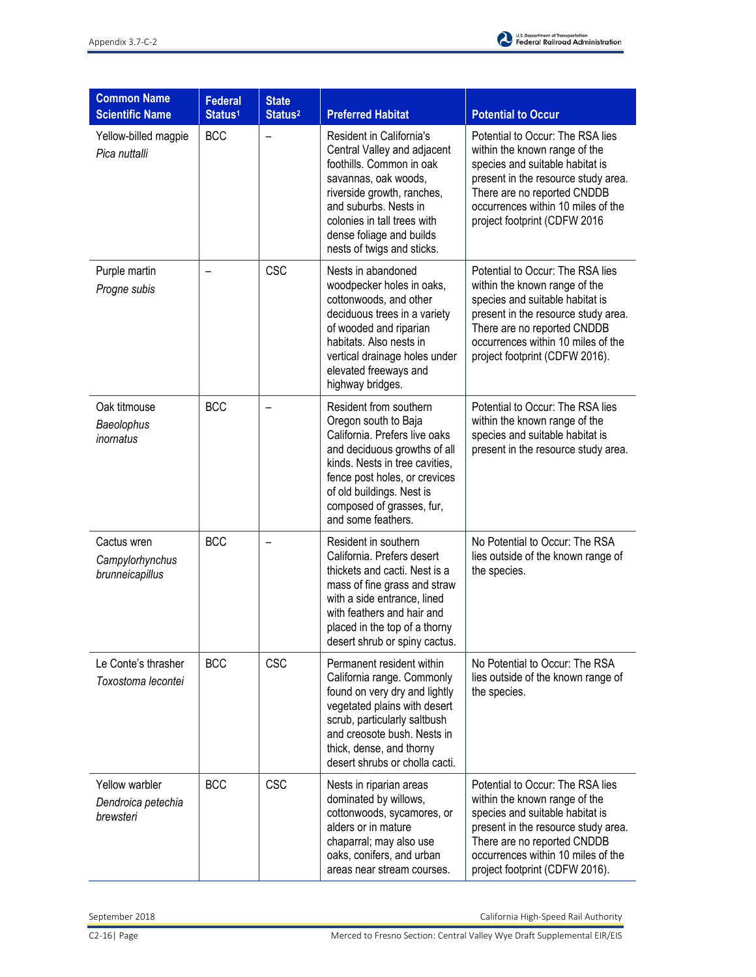

| <b>Common Name</b><br><b>Scientific Name</b>      | <b>Federal</b><br>Status <sup>1</sup> | <b>State</b><br>Status <sup>2</sup> | <b>Preferred Habitat</b>                                                                                                                                                                                                                                           | <b>Potential to Occur</b>                                                                                                                                                                                                                          |
|---------------------------------------------------|---------------------------------------|-------------------------------------|--------------------------------------------------------------------------------------------------------------------------------------------------------------------------------------------------------------------------------------------------------------------|----------------------------------------------------------------------------------------------------------------------------------------------------------------------------------------------------------------------------------------------------|
| Yellow-billed magpie<br>Pica nuttalli             | <b>BCC</b>                            | $\overline{\phantom{0}}$            | Resident in California's<br>Central Valley and adjacent<br>foothills. Common in oak<br>savannas, oak woods,<br>riverside growth, ranches,<br>and suburbs. Nests in<br>colonies in tall trees with<br>dense foliage and builds<br>nests of twigs and sticks.        | Potential to Occur: The RSA lies<br>within the known range of the<br>species and suitable habitat is<br>present in the resource study area.<br>There are no reported CNDDB<br>occurrences within 10 miles of the<br>project footprint (CDFW 2016   |
| Purple martin<br>Progne subis                     |                                       | <b>CSC</b>                          | Nests in abandoned<br>woodpecker holes in oaks,<br>cottonwoods, and other<br>deciduous trees in a variety<br>of wooded and riparian<br>habitats. Also nests in<br>vertical drainage holes under<br>elevated freeways and<br>highway bridges.                       | Potential to Occur: The RSA lies<br>within the known range of the<br>species and suitable habitat is<br>present in the resource study area.<br>There are no reported CNDDB<br>occurrences within 10 miles of the<br>project footprint (CDFW 2016). |
| Oak titmouse<br>Baeolophus<br>inornatus           | <b>BCC</b>                            |                                     | Resident from southern<br>Oregon south to Baja<br>California. Prefers live oaks<br>and deciduous growths of all<br>kinds. Nests in tree cavities,<br>fence post holes, or crevices<br>of old buildings. Nest is<br>composed of grasses, fur,<br>and some feathers. | Potential to Occur: The RSA lies<br>within the known range of the<br>species and suitable habitat is<br>present in the resource study area.                                                                                                        |
| Cactus wren<br>Campylorhynchus<br>brunneicapillus | <b>BCC</b>                            |                                     | Resident in southern<br>California. Prefers desert<br>thickets and cacti. Nest is a<br>mass of fine grass and straw<br>with a side entrance, lined<br>with feathers and hair and<br>placed in the top of a thorny<br>desert shrub or spiny cactus.                 | No Potential to Occur: The RSA<br>lies outside of the known range of<br>the species.                                                                                                                                                               |
| Le Conte's thrasher<br>Toxostoma lecontei         | <b>BCC</b>                            | <b>CSC</b>                          | Permanent resident within<br>California range. Commonly<br>found on very dry and lightly<br>vegetated plains with desert<br>scrub, particularly saltbush<br>and creosote bush. Nests in<br>thick, dense, and thorny<br>desert shrubs or cholla cacti.              | No Potential to Occur: The RSA<br>lies outside of the known range of<br>the species.                                                                                                                                                               |
| Yellow warbler<br>Dendroica petechia<br>brewsteri | <b>BCC</b>                            | <b>CSC</b>                          | Nests in riparian areas<br>dominated by willows,<br>cottonwoods, sycamores, or<br>alders or in mature<br>chaparral; may also use<br>oaks, conifers, and urban<br>areas near stream courses.                                                                        | Potential to Occur: The RSA lies<br>within the known range of the<br>species and suitable habitat is<br>present in the resource study area.<br>There are no reported CNDDB<br>occurrences within 10 miles of the<br>project footprint (CDFW 2016). |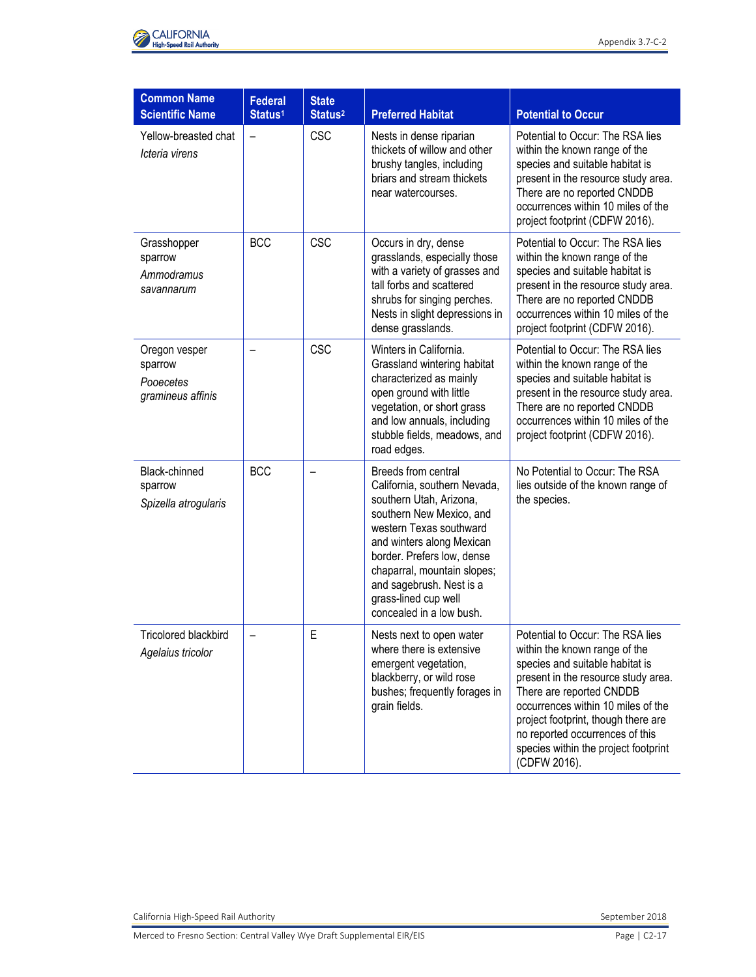

| <b>Common Name</b><br><b>Scientific Name</b>               | <b>Federal</b><br>Status <sup>1</sup> | <b>State</b><br>Status <sup>2</sup> | <b>Preferred Habitat</b>                                                                                                                                                                                                                                                                                        | <b>Potential to Occur</b>                                                                                                                                                                                                                                                                                                                       |
|------------------------------------------------------------|---------------------------------------|-------------------------------------|-----------------------------------------------------------------------------------------------------------------------------------------------------------------------------------------------------------------------------------------------------------------------------------------------------------------|-------------------------------------------------------------------------------------------------------------------------------------------------------------------------------------------------------------------------------------------------------------------------------------------------------------------------------------------------|
| Yellow-breasted chat<br>Icteria virens                     | $\overline{\phantom{0}}$              | <b>CSC</b>                          | Nests in dense riparian<br>thickets of willow and other<br>brushy tangles, including<br>briars and stream thickets<br>near watercourses.                                                                                                                                                                        | Potential to Occur: The RSA lies<br>within the known range of the<br>species and suitable habitat is<br>present in the resource study area.<br>There are no reported CNDDB<br>occurrences within 10 miles of the<br>project footprint (CDFW 2016).                                                                                              |
| Grasshopper<br>sparrow<br>Ammodramus<br>savannarum         | <b>BCC</b>                            | <b>CSC</b>                          | Occurs in dry, dense<br>grasslands, especially those<br>with a variety of grasses and<br>tall forbs and scattered<br>shrubs for singing perches.<br>Nests in slight depressions in<br>dense grasslands.                                                                                                         | Potential to Occur: The RSA lies<br>within the known range of the<br>species and suitable habitat is<br>present in the resource study area.<br>There are no reported CNDDB<br>occurrences within 10 miles of the<br>project footprint (CDFW 2016).                                                                                              |
| Oregon vesper<br>sparrow<br>Pooecetes<br>gramineus affinis |                                       | <b>CSC</b>                          | Winters in California.<br>Grassland wintering habitat<br>characterized as mainly<br>open ground with little<br>vegetation, or short grass<br>and low annuals, including<br>stubble fields, meadows, and<br>road edges.                                                                                          | Potential to Occur: The RSA lies<br>within the known range of the<br>species and suitable habitat is<br>present in the resource study area.<br>There are no reported CNDDB<br>occurrences within 10 miles of the<br>project footprint (CDFW 2016).                                                                                              |
| Black-chinned<br>sparrow<br>Spizella atrogularis           | <b>BCC</b>                            |                                     | Breeds from central<br>California, southern Nevada,<br>southern Utah, Arizona,<br>southern New Mexico, and<br>western Texas southward<br>and winters along Mexican<br>border. Prefers low, dense<br>chaparral, mountain slopes;<br>and sagebrush. Nest is a<br>grass-lined cup well<br>concealed in a low bush. | No Potential to Occur: The RSA<br>lies outside of the known range of<br>the species.                                                                                                                                                                                                                                                            |
| Tricolored blackbird<br>Agelaius tricolor                  |                                       | E                                   | Nests next to open water<br>where there is extensive<br>emergent vegetation,<br>blackberry, or wild rose<br>bushes; frequently forages in<br>grain fields.                                                                                                                                                      | Potential to Occur: The RSA lies<br>within the known range of the<br>species and suitable habitat is<br>present in the resource study area.<br>There are reported CNDDB<br>occurrences within 10 miles of the<br>project footprint, though there are<br>no reported occurrences of this<br>species within the project footprint<br>(CDFW 2016). |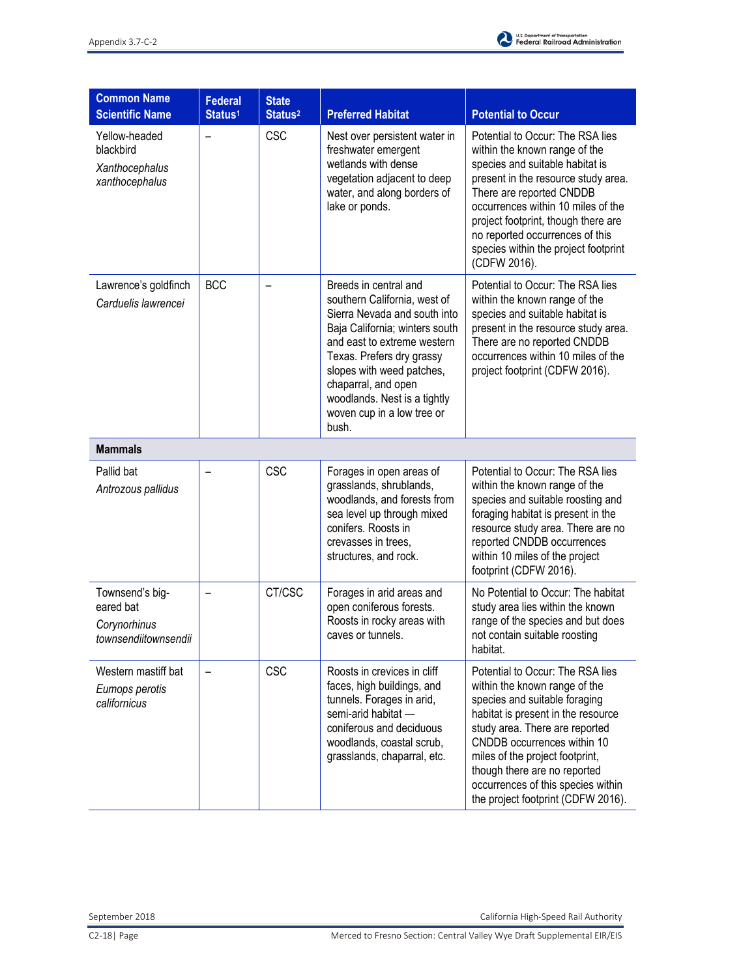

| <b>Common Name</b><br><b>Scientific Name</b>                         | <b>Federal</b><br>Status <sup>1</sup> | <b>State</b><br>Status <sup>2</sup> | <b>Preferred Habitat</b>                                                                                                                                                                                                                                                                                       | <b>Potential to Occur</b>                                                                                                                                                                                                                                                                                                                                |
|----------------------------------------------------------------------|---------------------------------------|-------------------------------------|----------------------------------------------------------------------------------------------------------------------------------------------------------------------------------------------------------------------------------------------------------------------------------------------------------------|----------------------------------------------------------------------------------------------------------------------------------------------------------------------------------------------------------------------------------------------------------------------------------------------------------------------------------------------------------|
| Yellow-headed<br>blackbird<br>Xanthocephalus<br>xanthocephalus       |                                       | CSC                                 | Nest over persistent water in<br>freshwater emergent<br>wetlands with dense<br>vegetation adjacent to deep<br>water, and along borders of<br>lake or ponds.                                                                                                                                                    | Potential to Occur: The RSA lies<br>within the known range of the<br>species and suitable habitat is<br>present in the resource study area.<br>There are reported CNDDB<br>occurrences within 10 miles of the<br>project footprint, though there are<br>no reported occurrences of this<br>species within the project footprint<br>(CDFW 2016).          |
| Lawrence's goldfinch<br>Carduelis lawrencei                          | <b>BCC</b>                            |                                     | Breeds in central and<br>southern California, west of<br>Sierra Nevada and south into<br>Baja California; winters south<br>and east to extreme western<br>Texas. Prefers dry grassy<br>slopes with weed patches,<br>chaparral, and open<br>woodlands. Nest is a tightly<br>woven cup in a low tree or<br>bush. | Potential to Occur: The RSA lies<br>within the known range of the<br>species and suitable habitat is<br>present in the resource study area.<br>There are no reported CNDDB<br>occurrences within 10 miles of the<br>project footprint (CDFW 2016).                                                                                                       |
| <b>Mammals</b>                                                       |                                       |                                     |                                                                                                                                                                                                                                                                                                                |                                                                                                                                                                                                                                                                                                                                                          |
| Pallid bat<br>Antrozous pallidus                                     |                                       | <b>CSC</b>                          | Forages in open areas of<br>grasslands, shrublands,<br>woodlands, and forests from<br>sea level up through mixed<br>conifers. Roosts in<br>crevasses in trees,<br>structures, and rock.                                                                                                                        | Potential to Occur: The RSA lies<br>within the known range of the<br>species and suitable roosting and<br>foraging habitat is present in the<br>resource study area. There are no<br>reported CNDDB occurrences<br>within 10 miles of the project<br>footprint (CDFW 2016).                                                                              |
| Townsend's big-<br>eared bat<br>Corynorhinus<br>townsendiitownsendii |                                       | CT/CSC                              | Forages in arid areas and<br>open coniferous forests.<br>Roosts in rocky areas with<br>caves or tunnels.                                                                                                                                                                                                       | No Potential to Occur: The habitat<br>study area lies within the known<br>range of the species and but does<br>not contain suitable roosting<br>habitat.                                                                                                                                                                                                 |
| Western mastiff bat<br>Eumops perotis<br>californicus                |                                       | CSC                                 | Roosts in crevices in cliff<br>faces, high buildings, and<br>tunnels. Forages in arid,<br>semi-arid habitat -<br>coniferous and deciduous<br>woodlands, coastal scrub,<br>grasslands, chaparral, etc.                                                                                                          | Potential to Occur: The RSA lies<br>within the known range of the<br>species and suitable foraging<br>habitat is present in the resource<br>study area. There are reported<br>CNDDB occurrences within 10<br>miles of the project footprint,<br>though there are no reported<br>occurrences of this species within<br>the project footprint (CDFW 2016). |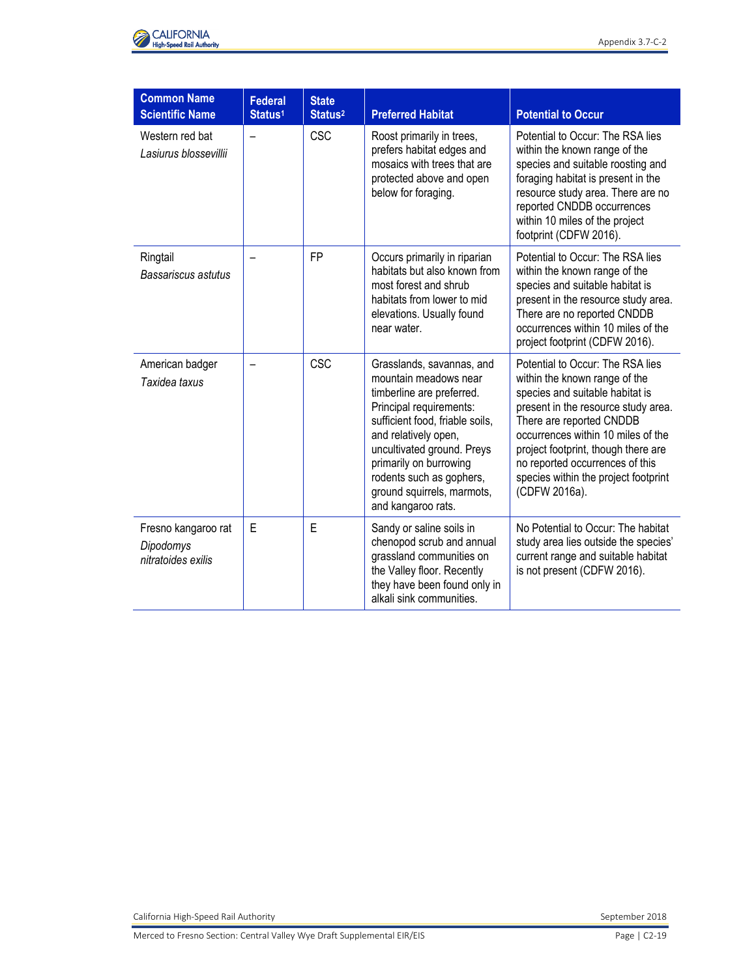

| <b>Common Name</b><br><b>Scientific Name</b>           | <b>Federal</b><br>Status <sup>1</sup> | <b>State</b><br>Status <sup>2</sup> | <b>Preferred Habitat</b>                                                                                                                                                                                                                                                                                      | <b>Potential to Occur</b>                                                                                                                                                                                                                                                                                                                        |
|--------------------------------------------------------|---------------------------------------|-------------------------------------|---------------------------------------------------------------------------------------------------------------------------------------------------------------------------------------------------------------------------------------------------------------------------------------------------------------|--------------------------------------------------------------------------------------------------------------------------------------------------------------------------------------------------------------------------------------------------------------------------------------------------------------------------------------------------|
| Western red bat<br>Lasiurus blossevillii               | $\overline{\phantom{0}}$              | CSC                                 | Roost primarily in trees,<br>prefers habitat edges and<br>mosaics with trees that are<br>protected above and open<br>below for foraging.                                                                                                                                                                      | Potential to Occur: The RSA lies<br>within the known range of the<br>species and suitable roosting and<br>foraging habitat is present in the<br>resource study area. There are no<br>reported CNDDB occurrences<br>within 10 miles of the project<br>footprint (CDFW 2016).                                                                      |
| Ringtail<br>Bassariscus astutus                        |                                       | <b>FP</b>                           | Occurs primarily in riparian<br>habitats but also known from<br>most forest and shrub<br>habitats from lower to mid<br>elevations. Usually found<br>near water.                                                                                                                                               | Potential to Occur: The RSA lies<br>within the known range of the<br>species and suitable habitat is<br>present in the resource study area.<br>There are no reported CNDDB<br>occurrences within 10 miles of the<br>project footprint (CDFW 2016).                                                                                               |
| American badger<br>Taxidea taxus                       |                                       | CSC                                 | Grasslands, savannas, and<br>mountain meadows near<br>timberline are preferred.<br>Principal requirements:<br>sufficient food, friable soils,<br>and relatively open,<br>uncultivated ground. Preys<br>primarily on burrowing<br>rodents such as gophers,<br>ground squirrels, marmots,<br>and kangaroo rats. | Potential to Occur: The RSA lies<br>within the known range of the<br>species and suitable habitat is<br>present in the resource study area.<br>There are reported CNDDB<br>occurrences within 10 miles of the<br>project footprint, though there are<br>no reported occurrences of this<br>species within the project footprint<br>(CDFW 2016a). |
| Fresno kangaroo rat<br>Dipodomys<br>nitratoides exilis | E                                     | E                                   | Sandy or saline soils in<br>chenopod scrub and annual<br>grassland communities on<br>the Valley floor. Recently<br>they have been found only in<br>alkali sink communities.                                                                                                                                   | No Potential to Occur: The habitat<br>study area lies outside the species'<br>current range and suitable habitat<br>is not present (CDFW 2016).                                                                                                                                                                                                  |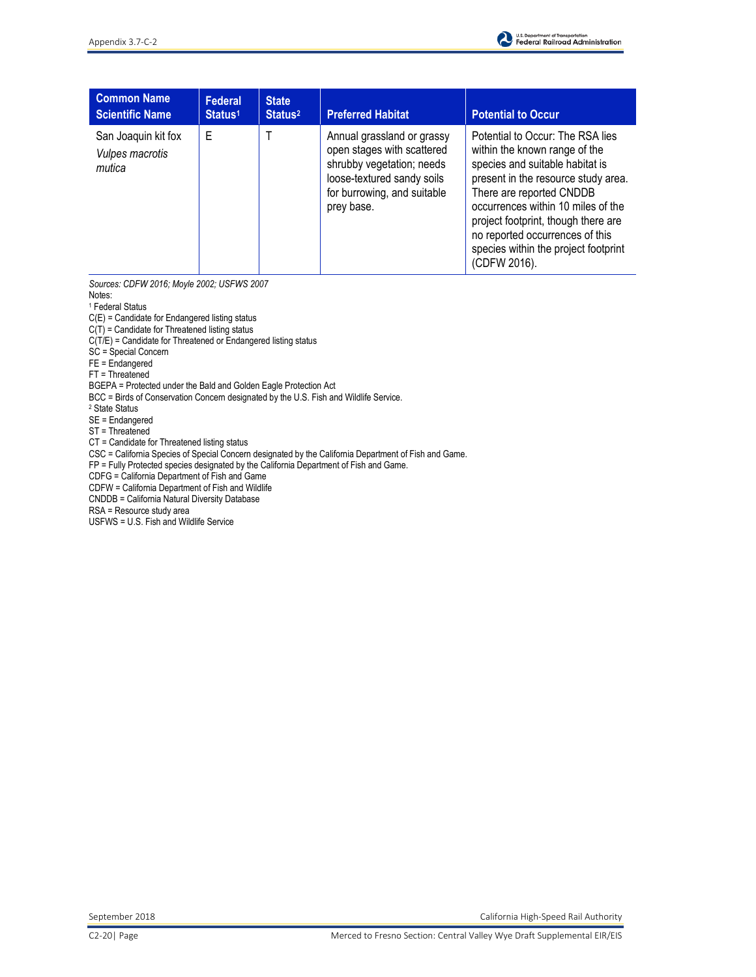

| <b>Common Name</b><br><b>Scientific Name</b>     | Federal<br>Status <sup>1</sup> | <b>State</b><br>Status <sup>2</sup> | <b>Preferred Habitat</b>                                                                                                                                         | <b>Potential to Occur</b>                                                                                                                                                                                                                                                                                                                       |
|--------------------------------------------------|--------------------------------|-------------------------------------|------------------------------------------------------------------------------------------------------------------------------------------------------------------|-------------------------------------------------------------------------------------------------------------------------------------------------------------------------------------------------------------------------------------------------------------------------------------------------------------------------------------------------|
| San Joaquin kit fox<br>Vulpes macrotis<br>mutica | Е                              |                                     | Annual grassland or grassy<br>open stages with scattered<br>shrubby vegetation; needs<br>loose-textured sandy soils<br>for burrowing, and suitable<br>prey base. | Potential to Occur: The RSA lies<br>within the known range of the<br>species and suitable habitat is<br>present in the resource study area.<br>There are reported CNDDB<br>occurrences within 10 miles of the<br>project footprint, though there are<br>no reported occurrences of this<br>species within the project footprint<br>(CDFW 2016). |

*Sources: CDFW 2016; Moyle 2002; USFWS 2007* 

Notes:

1 Federal Status C(E) = Candidate for Endangered listing status

 $C(T)$  = Candidate for Threatened listing status

 $C(T/E)$  = Candidate for Threatened or Endangered listing status

SC = Special Concern

FE = Endangered

FT = Threatened

BGEPA = Protected under the Bald and Golden Eagle Protection Act

BCC = Birds of Conservation Concern designated by the U.S. Fish and Wildlife Service.

2 State Status

SE = Endangered

ST = Threatened

CT = Candidate for Threatened listing status

CSC = California Species of Special Concern designated by the California Department of Fish and Game.

FP = Fully Protected species designated by the California Department of Fish and Game.

CDFG = California Department of Fish and Game

CDFW = California Department of Fish and Wildlife

CNDDB = California Natural Diversity Database

RSA = Resource study area

USFWS = U.S. Fish and Wildlife Service